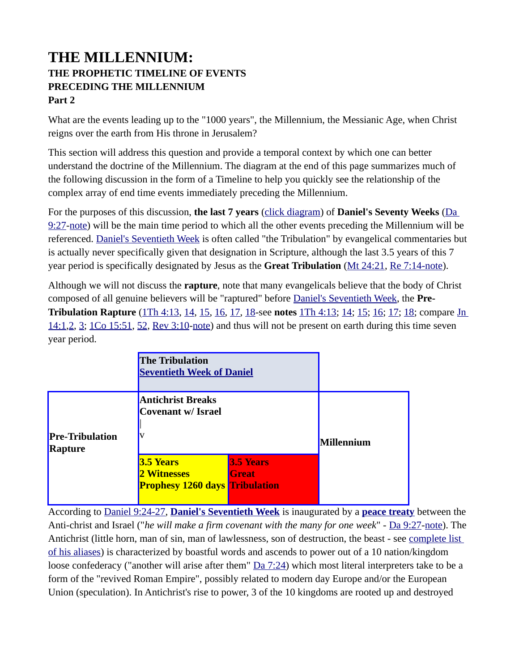## **THE MILLENNIUM: THE PROPHETIC TIMELINE OF EVENTS PRECEDING THE MILLENNIUM Part 2**

What are the events leading up to the "1000 years", the Millennium, the Messianic Age, when Christ reigns over the earth from His throne in Jerusalem?

This section will address this question and provide a temporal context by which one can better understand the doctrine of the Millennium. The diagram at the end of this page summarizes much of the following discussion in the form of a Timeline to help you quickly see the relationship of the complex array of end time events immediately preceding the Millennium.

For the purposes of this discussion, **the last 7 years** [\(click diagram](https://www.preceptaustin.org/the_millennium_2#70)) of **Daniel's Seventy Weeks** [\(Da](https://biblia.com/bible/niv/Dan%209.27)  [9:27](https://biblia.com/bible/niv/Dan%209.27)[-note\)](https://www.preceptaustin.org/daniel_927#9:27) will be the main time period to which all the other events preceding the Millennium will be referenced. [Daniel's Seventieth Week](https://www.preceptaustin.org/the_millennium_2#70) is often called "the Tribulation" by evangelical commentaries but is actually never specifically given that designation in Scripture, although the last 3.5 years of this 7 year period is specifically designated by Jesus as the **Great Tribulation** ([Mt 24:21](https://biblia.com/bible/niv/Matt%2024.21), [Re 7:14](https://biblia.com/bible/niv/Rev%207.14)-note).

Although we will not discuss the **rapture**, note that many evangelicals believe that the body of Christ composed of all genuine believers will be "raptured" before [Daniel's Seventieth Week](https://www.preceptaustin.org/the_millennium_2#70), the **Pre-Tribulation Rapture** ([1Th 4:13](https://biblia.com/bible/niv/1%20Thess%204.13), [14](https://biblia.com/bible/niv/1Th%204.14), [15](https://biblia.com/bible/niv/1Th%204.15), [16](https://biblia.com/bible/niv/1Th%204.16), [17](https://biblia.com/bible/niv/1Th%204.17), [18](https://biblia.com/bible/niv/1Th%204.18)-see **notes** [1Th 4:13](https://www.preceptaustin.org/1thessalonians_413-14#4:13); [14](https://www.preceptaustin.org/1thessalonians_413-14#4:14); [15;](https://www.preceptaustin.org/1thessalonians_415-16#4:15) [16](https://www.preceptaustin.org/1thessalonians_415-16#4:16); [17](https://www.preceptaustin.org/1thessalonians_417-18#4:17); [18;](https://www.preceptaustin.org/1thessalonians_417-18#4:18) compare [Jn](https://biblia.com/bible/niv/John%2014.1)  [14:1](https://biblia.com/bible/niv/John%2014.1)[,2](https://biblia.com/bible/niv/Jn%2014.2), [3](https://biblia.com/bible/niv/Jn%2014.3); [1Co 15:51,](https://biblia.com/bible/niv/1%20Cor%2015.51) [52,](https://biblia.com/bible/niv/1Co%2015.52) [Rev 3:10](https://biblia.com/bible/niv/Rev%203.10)[-note](http://www.spiritandtruth.org/id/revc.htm?3:10)) and thus will not be present on earth during this time seven year period.

|                                   | <b>The Tribulation</b>                                                   | <b>Seventieth Week of Daniel</b> |            |  |
|-----------------------------------|--------------------------------------------------------------------------|----------------------------------|------------|--|
| <b>Pre-Tribulation</b><br>Rapture | <b>Antichrist Breaks</b><br>Covenant w/ Israel                           |                                  | Millennium |  |
|                                   | <b>3.5 Years</b><br>2 Witnesses<br><b>Prophesy 1260 days Tribulation</b> | <b>3.5 Years</b><br><b>Great</b> |            |  |

According to [Daniel 9:24-27](http://studylight.org/desk/?query=da+9), **[Daniel's Seventieth Week](https://www.preceptaustin.org/the_millennium_2#70)** is inaugurated by a **[peace treaty](https://www.preceptaustin.org/daniels_seventieth_week#antichrist%20makes%20firm%20covenant)** between the Anti-christ and Israel ("*he will make a firm covenant with the many for one week*" - [Da 9:27](https://biblia.com/bible/niv/Dan%209.27)[-note](https://www.preceptaustin.org/daniel_927#9:27)). The Antichrist (little horn, man of sin, man of lawlessness, son of destruction, the beast - see [complete list](https://www.preceptaustin.org/daniel_927#antichrist)  [of his aliases\)](https://www.preceptaustin.org/daniel_927#antichrist) is characterized by boastful words and ascends to power out of a 10 nation/kingdom loose confederacy ("another will arise after them" [Da 7:24](https://biblia.com/bible/niv/Dan%207.24)) which most literal interpreters take to be a form of the "revived Roman Empire", possibly related to modern day Europe and/or the European Union (speculation). In Antichrist's rise to power, 3 of the 10 kingdoms are rooted up and destroyed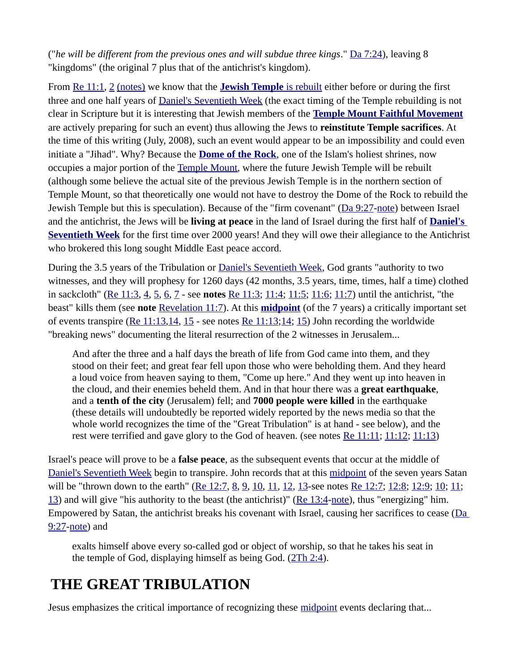("*he will be different from the previous ones and will subdue three kings*." [Da 7:24](https://biblia.com/bible/niv/Dan%207.24)), leaving 8 "kingdoms" (the original 7 plus that of the antichrist's kingdom).

From [Re 11:1](https://biblia.com/bible/niv/Rev%2011.1), [2](https://biblia.com/bible/niv/Re%2011.2) [\(notes\)](http://www.spiritandtruth.org/id/revc.htm?11:2) we know that the **[Jewish Temple](https://www.preceptaustin.org/daniels_seventieth_week#temple%20in%20jerusalem%20rebuilt)** is rebuilt either before or during the first three and one half years of [Daniel's Seventieth Week](https://www.preceptaustin.org/the_millennium_2#70) (the exact timing of the Temple rebuilding is not clear in Scripture but it is interesting that Jewish members of the **[Temple Mount Faithful Movement](http://www.templemountfaithful.org/)** are actively preparing for such an event) thus allowing the Jews to **reinstitute Temple sacrifices**. At the time of this writing (July, 2008), such an event would appear to be an impossibility and could even initiate a "Jihad". Why? Because the **[Dome of the Rock](http://www.spiritandtruth.org/teaching/Book_of_Revelation/commentary/htm/04160508.htm#4.16.5.8)**, one of the Islam's holiest shrines, now occupies a major portion of the [Temple Mount](http://www.templemount.org/), where the future Jewish Temple will be rebuilt (although some believe the actual site of the previous Jewish Temple is in the northern section of Temple Mount, so that theoretically one would not have to destroy the Dome of the Rock to rebuild the Jewish Temple but this is speculation). Because of the "firm covenant" ([Da 9:27](https://biblia.com/bible/niv/Dan%209.27)[-note\)](https://www.preceptaustin.org/daniel_927#covenant) between Israel and the antichrist, the Jews will be **living at peace** in the land of Israel during the first half of **[Daniel's](https://www.preceptaustin.org/the_millennium_2#70)  [Seventieth Week](https://www.preceptaustin.org/the_millennium_2#70)** for the first time over 2000 years! And they will owe their allegiance to the Antichrist who brokered this long sought Middle East peace accord.

During the 3.5 years of the Tribulation or [Daniel's Seventieth Week](https://www.preceptaustin.org/the_millennium_2#70), God grants "authority to two witnesses, and they will prophesy for 1260 days (42 months, 3.5 years, time, times, half a time) clothed in sackcloth" [\(Re 11:3,](https://biblia.com/bible/niv/Rev%2011.3) [4,](https://biblia.com/bible/niv/Re%2011.4) [5,](https://biblia.com/bible/niv/Re%2011.5) [6,](https://biblia.com/bible/niv/Re%2011.6) [7](https://biblia.com/bible/niv/Re%2011.7) - see **notes** [Re 11:3;](http://www.spiritandtruth.org/id/revc.htm?11:3) [11:4](http://www.spiritandtruth.org/id/revc.htm?11:4); [11:5](http://www.spiritandtruth.org/id/revc.htm?11:5); [11:6](http://www.spiritandtruth.org/id/revc.htm?11:6); [11:7\)](http://www.spiritandtruth.org/id/revc.htm?11:7) until the antichrist, "the beast" kills them (see **note** [Revelation 11:7](http://www.spiritandtruth.org/id/revc.htm?11:7)). At this **[midpoint](https://www.preceptaustin.org/daniels_seventieth_week#midpoint)** (of the 7 years) a critically important set of events transpire ( $\text{Re } 11:13,14, 15$  $\text{Re } 11:13,14, 15$  $\text{Re } 11:13,14, 15$  - see notes  $\text{Re } 11:13;14; 15$  $\text{Re } 11:13;14; 15$  $\text{Re } 11:13;14; 15$ ) John recording the worldwide "breaking news" documenting the literal resurrection of the 2 witnesses in Jerusalem...

And after the three and a half days the breath of life from God came into them, and they stood on their feet; and great fear fell upon those who were beholding them. And they heard a loud voice from heaven saying to them, "Come up here." And they went up into heaven in the cloud, and their enemies beheld them. And in that hour there was a **great earthquake**, and a **tenth of the city** (Jerusalem) fell; and **7000 people were killed** in the earthquake (these details will undoubtedly be reported widely reported by the news media so that the whole world recognizes the time of the "Great Tribulation" is at hand - see below), and the rest were terrified and gave glory to the God of heaven. (see notes [Re 11:11;](http://www.spiritandtruth.org/id/revc.htm?11:11) [11:12](http://www.spiritandtruth.org/id/revc.htm?11:12); [11:13](http://www.spiritandtruth.org/id/revc.htm?11:13))

Israel's peace will prove to be a **false peace**, as the subsequent events that occur at the middle of [Daniel's Seventieth Week](https://www.preceptaustin.org/the_millennium_2#70%23midpoint) begin to transpire. John records that at this [midpoint](https://www.preceptaustin.org/daniels_seventieth_week#midpoint) of the seven years Satan will be "thrown down to the earth" [\(Re 12:7,](https://biblia.com/bible/niv/Rev%2012.7) [8,](https://biblia.com/bible/niv/Re%2012.8) [9,](https://biblia.com/bible/niv/Re%2012.9) [10,](https://biblia.com/bible/niv/Re%2012.10) [11](http://www.spiritandtruth.org/id/revc.htm?12:11), [12](https://biblia.com/bible/niv/Re%2012.12), [13](https://biblia.com/bible/niv/Re%2012.13)-see notes [Re 12:7;](http://www.spiritandtruth.org/id/revc.htm?12:7) [12:8](http://www.spiritandtruth.org/id/revc.htm?12:8); [12:9](http://www.spiritandtruth.org/id/revc.htm?12:9); [10](http://www.spiritandtruth.org/id/revc.htm?12:10); 11; [13\)](http://www.spiritandtruth.org/id/revc.htm?12:13) and will give "his authority to the beast (the antichrist)" [\(Re 13:4](https://biblia.com/bible/niv/Rev%2013.4)[-note\)](http://www.spiritandtruth.org/id/revc.htm?13:4), thus "energizing" him. Empowered by Satan, the antichrist breaks his covenant with Israel, causing her sacrifices to cease ([Da](https://biblia.com/bible/niv/Dan%209.27)  [9:27](https://biblia.com/bible/niv/Dan%209.27)[-note\)](https://www.preceptaustin.org/daniel_927#9:27) and

exalts himself above every so-called god or object of worship, so that he takes his seat in the temple of God, displaying himself as being God. [\(2Th 2:4](http://studylight.org/desk/?query=2thes+2)).

# **THE GREAT TRIBULATION**

Jesus emphasizes the critical importance of recognizing these [midpoint](https://www.preceptaustin.org/daniels_seventieth_week#midpoint) events declaring that...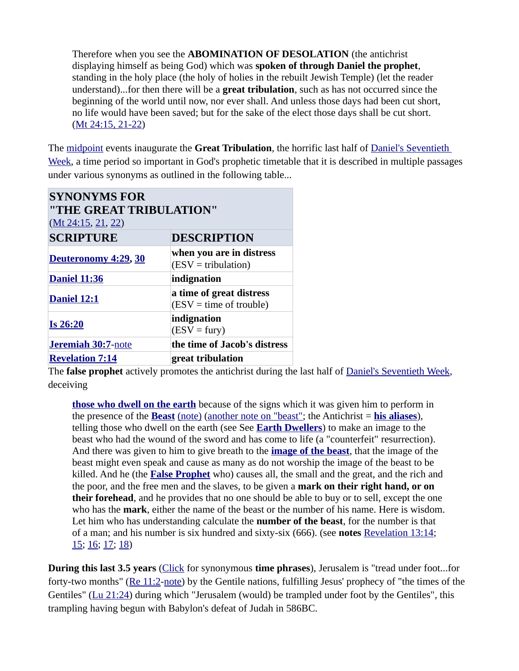Therefore when you see the **ABOMINATION OF DESOLATION** (the antichrist displaying himself as being God) which was **spoken of through Daniel the prophet**, standing in the holy place (the holy of holies in the rebuilt Jewish Temple) (let the reader understand)...for then there will be a **great tribulation**, such as has not occurred since the beginning of the world until now, nor ever shall. And unless those days had been cut short, no life would have been saved; but for the sake of the elect those days shall be cut short. [\(Mt 24:15, 21-22](http://studylight.org/desk/?query=mat+24))

The [midpoint](https://www.preceptaustin.org/daniels_seventieth_week#midpoint) events inaugurate the **Great Tribulation**, the horrific last half of [Daniel's Seventieth](https://www.preceptaustin.org/the_millennium_2#70)  [Week,](https://www.preceptaustin.org/the_millennium_2#70) a time period so important in God's prophetic timetable that it is described in multiple passages under various synonyms as outlined in the following table...

| <b>SYNONYMS FOR</b><br>"THE GREAT TRIBULATION"<br>(Mt 24:15, 21, 22) |                                                       |  |  |
|----------------------------------------------------------------------|-------------------------------------------------------|--|--|
| <b>SCRIPTURE</b>                                                     | <b>DESCRIPTION</b>                                    |  |  |
| Deuteronomy 4:29, 30                                                 | when you are in distress<br>$(ESV = tribulation)$     |  |  |
| <b>Daniel 11:36</b>                                                  | indignation                                           |  |  |
| Daniel 12:1                                                          | a time of great distress<br>$(ESV = time of trouble)$ |  |  |
| <b>Is 26:20</b>                                                      | indignation<br>$(ESV = fury)$                         |  |  |
| <b>Jeremiah 30:7-note</b>                                            | the time of Jacob's distress                          |  |  |
| <b>Revelation 7:14</b>                                               | great tribulation                                     |  |  |

The **false prophet** actively promotes the antichrist during the last half of [Daniel's Seventieth Week,](https://www.preceptaustin.org/the_millennium_2#70) deceiving

**[those who dwell on the earth](http://www.spiritandtruth.org/teaching/Book_of_Revelation/commentary/htm/03031001.htm#3.3.10.1)** because of the signs which it was given him to perform in the presence of the **[Beast](http://www.spiritandtruth.org/teaching/Book_of_Revelation/commentary/htm/0402.htm#4.2)** [\(note\)](http://www.spiritandtruth.org/teaching/Book_of_Revelation/commentary/htm/0402.htm#4.2) [\(another note on "beast"](http://www.spiritandtruth.org/teaching/Book_of_Revelation/commentary/htm/0402.htm#4.2); the Antichrist = **[his aliases](https://www.preceptaustin.org/daniel_927#antichrist)**), telling those who dwell on the earth (see See **[Earth Dwellers](http://www.spiritandtruth.org/teaching/Book_of_Revelation/commentary/htm/03031001.htm#3.3.10.1)**) to make an image to the beast who had the wound of the sword and has come to life (a "counterfeit" resurrection). And there was given to him to give breath to the **[image of the beast](http://www.spiritandtruth.org/teaching/Book_of_Revelation/commentary/htm/04030219.htm#4.3.2.19)**, that the image of the beast might even speak and cause as many as do not worship the image of the beast to be killed. And he (the **[False Prophet](http://www.spiritandtruth.org/teaching/Book_of_Revelation/commentary/htm/04030218.htm#4.3.2.18)** who) causes all, the small and the great, and the rich and the poor, and the free men and the slaves, to be given a **mark on their right hand, or on their forehead**, and he provides that no one should be able to buy or to sell, except the one who has the **mark**, either the name of the beast or the number of his name. Here is wisdom. Let him who has understanding calculate the **number of the beast**, for the number is that of a man; and his number is six hundred and sixty-six (666). (see **notes** [Revelation 13:14;](http://www.spiritandtruth.org/id/revc.htm?13:14) [15](http://www.spiritandtruth.org/id/revc.htm?13:15); [16](http://www.spiritandtruth.org/id/revc.htm?13:16); [17;](http://www.spiritandtruth.org/id/revc.htm?13:) [18](http://www.spiritandtruth.org/id/revc.htm?13:17))

**During this last 3.5 years** [\(Click](https://www.preceptaustin.org/daniel_927#time) for synonymous **time phrases**), Jerusalem is "tread under foot...for forty-two months" [\(Re 11:2](https://biblia.com/bible/niv/Rev%2011.2)[-note](http://www.spiritandtruth.org/id/revc.htm?11:2)) by the Gentile nations, fulfilling Jesus' prophecy of "the times of the Gentiles" ([Lu 21:24](https://biblia.com/bible/niv/Luke%2021.24)) during which "Jerusalem (would) be trampled under foot by the Gentiles", this trampling having begun with Babylon's defeat of Judah in 586BC.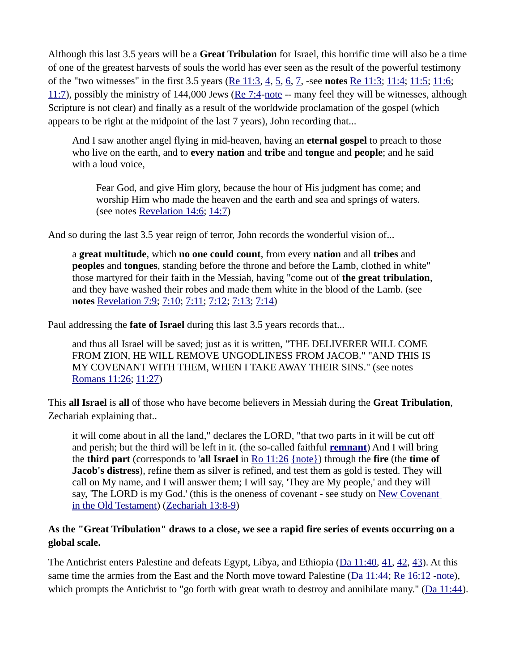Although this last 3.5 years will be a **Great Tribulation** for Israel, this horrific time will also be a time of one of the greatest harvests of souls the world has ever seen as the result of the powerful testimony of the "two witnesses" in the first 3.5 years ([Re 11:3](https://biblia.com/bible/niv/Rev%2011.3), [4](https://biblia.com/bible/niv/Re%2011.4), [5](https://biblia.com/bible/niv/Re%2011.5), [6](https://biblia.com/bible/niv/Re%2011.6), [7](https://biblia.com/bible/niv/Re%2011.7), -see **notes** [Re 11:3](http://www.spiritandtruth.org/id/revc.htm?11:3); [11:4](http://www.spiritandtruth.org/id/revc.htm?11:4); [11:5;](http://www.spiritandtruth.org/id/revc.htm?11:5) [11:6](http://www.spiritandtruth.org/id/revc.htm?11:6);  $11:7$ ), possibly the ministry of 144,000 Jews ([Re 7:4](https://biblia.com/bible/niv/Rev%207.4)[-note](http://www.spiritandtruth.org/id/revc.htm?7:4) -- many feel they will be witnesses, although Scripture is not clear) and finally as a result of the worldwide proclamation of the gospel (which appears to be right at the midpoint of the last 7 years), John recording that...

And I saw another angel flying in mid-heaven, having an **eternal gospel** to preach to those who live on the earth, and to **every nation** and **tribe** and **tongue** and **people**; and he said with a loud voice,

Fear God, and give Him glory, because the hour of His judgment has come; and worship Him who made the heaven and the earth and sea and springs of waters. (see notes [Revelation 14:6](http://www.spiritandtruth.org/id/revc.htm?14:6); [14:7](http://www.spiritandtruth.org/id/revc.htm?14:7))

And so during the last 3.5 year reign of terror, John records the wonderful vision of...

a **great multitude**, which **no one could count**, from every **nation** and all **tribes** and **peoples** and **tongues**, standing before the throne and before the Lamb, clothed in white" those martyred for their faith in the Messiah, having "come out of **the great tribulation**, and they have washed their robes and made them white in the blood of the Lamb. (see **notes** [Revelation 7:9](http://www.spiritandtruth.org/id/revc.htm?7:9); [7:10;](http://www.spiritandtruth.org/id/revc.htm?7:10) [7:11](http://www.spiritandtruth.org/id/revc.htm?7:11); [7:12;](http://www.spiritandtruth.org/id/revc.htm?7:12) [7:13](http://www.spiritandtruth.org/id/revc.htm?7:13); [7:14](http://www.spiritandtruth.org/id/revc.htm?7:14))

Paul addressing the **fate of Israel** during this last 3.5 years records that...

and thus all Israel will be saved; just as it is written, "THE DELIVERER WILL COME FROM ZION, HE WILL REMOVE UNGODLINESS FROM JACOB." "AND THIS IS MY COVENANT WITH THEM, WHEN I TAKE AWAY THEIR SINS." (see notes [Romans 11:26](https://www.preceptaustin.org/romans_1117-33#11:26); [11:27\)](https://www.preceptaustin.org/romans_1117-33#11:27)

This **all Israel** is **all** of those who have become believers in Messiah during the **Great Tribulation**, Zechariah explaining that..

it will come about in all the land," declares the LORD, "that two parts in it will be cut off and perish; but the third will be left in it. (the so-called faithful **[remnant](https://www.preceptaustin.org/remnant-of-israel)**) And I will bring the **third part** (corresponds to '**all Israel** in [Ro 11:26](https://biblia.com/bible/niv/Rom%2011.26) [{note}\)](https://www.preceptaustin.org/romans_1117-33#11:26) through the **fire** (the **time of Jacob's distress**), refine them as silver is refined, and test them as gold is tested. They will call on My name, and I will answer them; I will say, 'They are My people,' and they will say, 'The LORD is my God.' (this is the oneness of covenant - see study on New Covenant [in the Old Testament](https://www.preceptaustin.org/covenant_new_covenant_in_the_OT)) [\(Zechariah 13:8-9](http://studylight.org/desk/?query=zech+13))

### **As the "Great Tribulation" draws to a close, we see a rapid fire series of events occurring on a global scale.**

The Antichrist enters Palestine and defeats Egypt, Libya, and Ethiopia ([Da 11:40,](https://biblia.com/bible/niv/Dan%2011.40) [41,](https://biblia.com/bible/niv/Da%2011.41) [42,](https://biblia.com/bible/niv/Da%2011.42) [43\)](https://biblia.com/bible/niv/Da%2011.43). At this same time the armies from the East and the North move toward Palestine ( $Da 11:44; Re 16:12 -note$  $Da 11:44; Re 16:12 -note$  $Da 11:44; Re 16:12 -note$ ),</u> which prompts the Antichrist to "go forth with great wrath to destroy and annihilate many." ([Da 11:44\)](https://biblia.com/bible/niv/Dan%2011.44).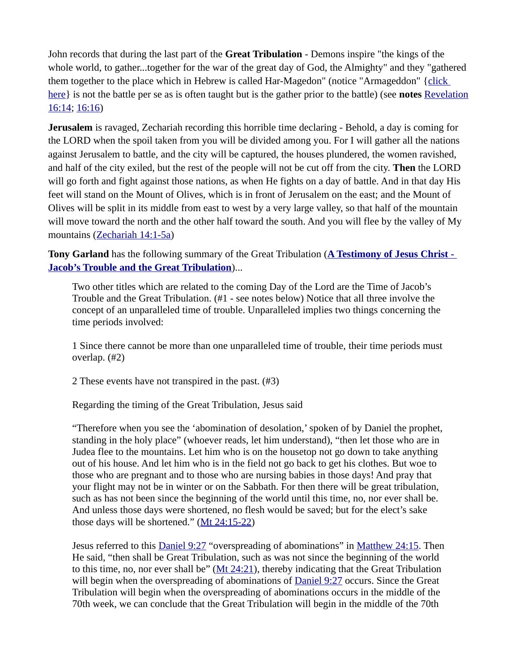John records that during the last part of the **Great Tribulation** - Demons inspire "the kings of the whole world, to gather...together for the war of the great day of God, the Almighty" and they "gathered them together to the place which in Hebrew is called Har-Magedon" (notice "Armageddon" [{click](http://www.spiritandtruth.org/teaching/Book_of_Revelation/commentary/htm/04050301.htm#4.5.3.1)  [here](http://www.spiritandtruth.org/teaching/Book_of_Revelation/commentary/htm/04050301.htm#4.5.3.1)} is not the battle per se as is often taught but is the gather prior to the battle) (see **notes** [Revelation](http://www.spiritandtruth.org/id/revc.htm?16:14) [16:14](http://www.spiritandtruth.org/id/revc.htm?16:14); [16:16\)](http://www.spiritandtruth.org/id/revc.htm?16:16)

**Jerusalem** is ravaged, Zechariah recording this horrible time declaring - Behold, a day is coming for the LORD when the spoil taken from you will be divided among you. For I will gather all the nations against Jerusalem to battle, and the city will be captured, the houses plundered, the women ravished, and half of the city exiled, but the rest of the people will not be cut off from the city. **Then** the LORD will go forth and fight against those nations, as when He fights on a day of battle. And in that day His feet will stand on the Mount of Olives, which is in front of Jerusalem on the east; and the Mount of Olives will be split in its middle from east to west by a very large valley, so that half of the mountain will move toward the north and the other half toward the south. And you will flee by the valley of My mountains ([Zechariah 14:1-5a](http://studylight.org/desk/?query=zech+14))

**Tony Garland** has the following summary of the Great Tribulation (**[A Testimony of Jesus Christ -](http://www.spiritandtruth.org/teaching/Book_of_Revelation/commentary/htm/021304.htm#2.13.4)  [Jacob's Trouble and the Great Tribulation](http://www.spiritandtruth.org/teaching/Book_of_Revelation/commentary/htm/021304.htm#2.13.4)**)...

Two other titles which are related to the coming Day of the Lord are the Time of Jacob's Trouble and the Great Tribulation. (#1 - see notes below) Notice that all three involve the concept of an unparalleled time of trouble. Unparalleled implies two things concerning the time periods involved:

1 Since there cannot be more than one unparalleled time of trouble, their time periods must overlap. (#2)

2 These events have not transpired in the past. (#3)

Regarding the timing of the Great Tribulation, Jesus said

"Therefore when you see the 'abomination of desolation,' spoken of by Daniel the prophet, standing in the holy place" (whoever reads, let him understand), "then let those who are in Judea flee to the mountains. Let him who is on the housetop not go down to take anything out of his house. And let him who is in the field not go back to get his clothes. But woe to those who are pregnant and to those who are nursing babies in those days! And pray that your flight may not be in winter or on the Sabbath. For then there will be great tribulation, such as has not been since the beginning of the world until this time, no, nor ever shall be. And unless those days were shortened, no flesh would be saved; but for the elect's sake those days will be shortened." [\(Mt 24:15-22\)](https://biblia.com/bible/niv/Matt%2024.15-22)

Jesus referred to this [Daniel 9:27](https://biblia.com/bible/niv/Dan%209.27) "overspreading of abominations" in [Matthew 24:15](https://biblia.com/bible/niv/Matt%2024.15). Then He said, "then shall be Great Tribulation, such as was not since the beginning of the world to this time, no, nor ever shall be"  $(Mt 24:21)$  $(Mt 24:21)$ , thereby indicating that the Great Tribulation will begin when the overspreading of abominations of [Daniel 9:27](https://biblia.com/bible/niv/Dan%209.27) occurs. Since the Great Tribulation will begin when the overspreading of abominations occurs in the middle of the 70th week, we can conclude that the Great Tribulation will begin in the middle of the 70th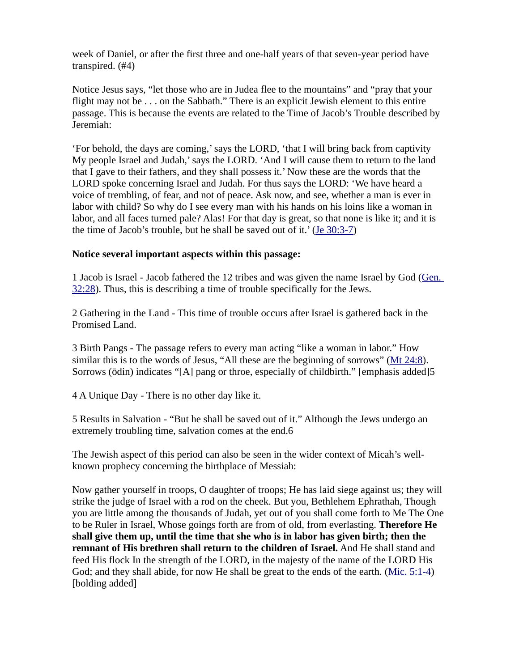week of Daniel, or after the first three and one-half years of that seven-year period have transpired. (#4)

Notice Jesus says, "let those who are in Judea flee to the mountains" and "pray that your flight may not be . . . on the Sabbath." There is an explicit Jewish element to this entire passage. This is because the events are related to the Time of Jacob's Trouble described by Jeremiah:

'For behold, the days are coming,' says the LORD, 'that I will bring back from captivity My people Israel and Judah,' says the LORD. 'And I will cause them to return to the land that I gave to their fathers, and they shall possess it.' Now these are the words that the LORD spoke concerning Israel and Judah. For thus says the LORD: 'We have heard a voice of trembling, of fear, and not of peace. Ask now, and see, whether a man is ever in labor with child? So why do I see every man with his hands on his loins like a woman in labor, and all faces turned pale? Alas! For that day is great, so that none is like it; and it is the time of Jacob's trouble, but he shall be saved out of it.' [\(Je 30:3-7\)](https://biblia.com/bible/niv/Jer%2030.3-7)

#### **Notice several important aspects within this passage:**

1 Jacob is Israel - Jacob fathered the 12 tribes and was given the name Israel by God ([Gen.](https://biblia.com/bible/niv/Gen.%2032.28)  [32:28](https://biblia.com/bible/niv/Gen.%2032.28)). Thus, this is describing a time of trouble specifically for the Jews.

2 Gathering in the Land - This time of trouble occurs after Israel is gathered back in the Promised Land.

3 Birth Pangs - The passage refers to every man acting "like a woman in labor." How similar this is to the words of Jesus, "All these are the beginning of sorrows" [\(Mt 24:8\)](https://biblia.com/bible/niv/Matt%2024.8). Sorrows (ōdin) indicates "[A] pang or throe, especially of childbirth." [emphasis added]5

4 A Unique Day - There is no other day like it.

5 Results in Salvation - "But he shall be saved out of it." Although the Jews undergo an extremely troubling time, salvation comes at the end.6

The Jewish aspect of this period can also be seen in the wider context of Micah's wellknown prophecy concerning the birthplace of Messiah:

Now gather yourself in troops, O daughter of troops; He has laid siege against us; they will strike the judge of Israel with a rod on the cheek. But you, Bethlehem Ephrathah, Though you are little among the thousands of Judah, yet out of you shall come forth to Me The One to be Ruler in Israel, Whose goings forth are from of old, from everlasting. **Therefore He shall give them up, until the time that she who is in labor has given birth; then the remnant of His brethren shall return to the children of Israel.** And He shall stand and feed His flock In the strength of the LORD, in the majesty of the name of the LORD His God; and they shall abide, for now He shall be great to the ends of the earth. ([Mic. 5:1-4\)](https://biblia.com/bible/niv/Micah.%205.1-4) [bolding added]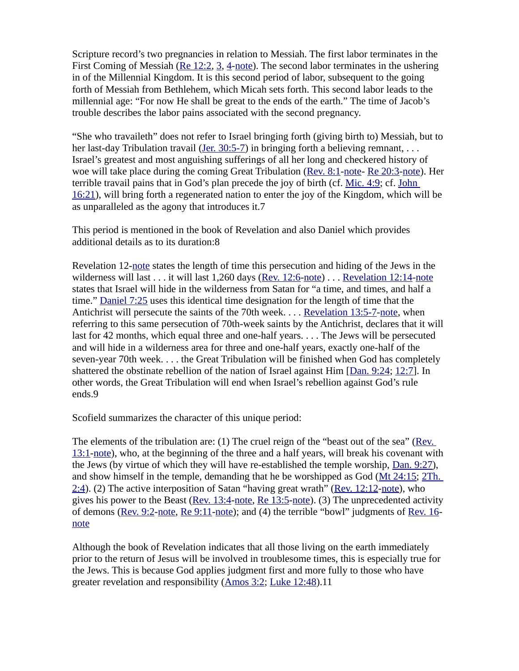Scripture record's two pregnancies in relation to Messiah. The first labor terminates in the First Coming of Messiah ([Re 12:2](https://biblia.com/bible/niv/Rev%2012.2), [3](https://biblia.com/bible/niv/Re%2012.3), [4](https://biblia.com/bible/niv/Re%2012.4)[-note](http://www.spiritandtruth.org/teaching/Book_of_Revelation/commentary/htm/031202.htm#3.12.2)). The second labor terminates in the ushering in of the Millennial Kingdom. It is this second period of labor, subsequent to the going forth of Messiah from Bethlehem, which Micah sets forth. This second labor leads to the millennial age: "For now He shall be great to the ends of the earth." The time of Jacob's trouble describes the labor pains associated with the second pregnancy.

"She who travaileth" does not refer to Israel bringing forth (giving birth to) Messiah, but to her last-day Tribulation travail (Jer.  $30:5-7$ ) in bringing forth a believing remnant, ... Israel's greatest and most anguishing sufferings of all her long and checkered history of woe will take place during the coming Great Tribulation ([Rev. 8:1](https://biblia.com/bible/niv/Rev.%208.1)-[note-](http://www.spiritandtruth.org/teaching/Book_of_Revelation/commentary/htm/030801.htm#3.8.1) [Re 20:3](https://biblia.com/bible/niv/Rev%2020.3)[-note](http://www.spiritandtruth.org/teaching/Book_of_Revelation/commentary/htm/032003.htm#3.20.3)). Her terrible travail pains that in God's plan precede the joy of birth (cf. [Mic. 4:9](https://biblia.com/bible/niv/Micah.%204.9); cf. [John](https://biblia.com/bible/niv/John%2016.21)  [16:21](https://biblia.com/bible/niv/John%2016.21)), will bring forth a regenerated nation to enter the joy of the Kingdom, which will be as unparalleled as the agony that introduces it.7

This period is mentioned in the book of Revelation and also Daniel which provides additional details as to its duration:8

Revelation 12[-note](http://www.spiritandtruth.org/teaching/Book_of_Revelation/commentary/htm/031201.htm#3.12.1) states the length of time this persecution and hiding of the Jews in the wilderness will last . . . it will last 1,260 days ([Rev. 12:6-](https://biblia.com/bible/niv/Rev.%2012.6)[note](http://www.spiritandtruth.org/teaching/Book_of_Revelation/commentary/htm/031214.htm#3.12.14)) . . . [Revelation 12:14-](https://biblia.com/bible/niv/Rev%2012.14)note states that Israel will hide in the wilderness from Satan for "a time, and times, and half a time." [Daniel 7:25](https://biblia.com/bible/niv/Dan%207.25) uses this identical time designation for the length of time that the Antichrist will persecute the saints of the 70th week. . . . [Revelation 13:5-7-](https://biblia.com/bible/niv/Rev%2013.5-7)[note](http://www.spiritandtruth.org/teaching/Book_of_Revelation/commentary/htm/031305.htm#3.13.5), when referring to this same persecution of 70th-week saints by the Antichrist, declares that it will last for 42 months, which equal three and one-half years. . . . The Jews will be persecuted and will hide in a wilderness area for three and one-half years, exactly one-half of the seven-year 70th week. . . . the Great Tribulation will be finished when God has completely shattered the obstinate rebellion of the nation of Israel against Him [[Dan. 9:24](https://biblia.com/bible/niv/Dan.%209.24); [12:7\]](https://biblia.com/bible/niv/Dan%2012.7). In other words, the Great Tribulation will end when Israel's rebellion against God's rule ends.9

Scofield summarizes the character of this unique period:

The elements of the tribulation are: (1) The cruel reign of the "beast out of the sea" (Rev. [13:1](https://biblia.com/bible/niv/Rev.%2013.1)[-note](http://www.spiritandtruth.org/teaching/Book_of_Revelation/commentary/htm/031301.htm#3.13.1)), who, at the beginning of the three and a half years, will break his covenant with the Jews (by virtue of which they will have re-established the temple worship, [Dan. 9:27](https://biblia.com/bible/niv/Dan.%209.27)), and show himself in the temple, demanding that he be worshipped as God ([Mt 24:15](https://biblia.com/bible/niv/Matt%2024.15); [2Th.](https://biblia.com/bible/niv/2%20Thess.%202.4)  [2:4](https://biblia.com/bible/niv/2%20Thess.%202.4)). (2) The active interposition of Satan "having great wrath" [\(Rev. 12:12](https://biblia.com/bible/niv/Rev.%2012.12)[-note](http://www.spiritandtruth.org/teaching/Book_of_Revelation/commentary/htm/031212.htm#3.12.12)), who gives his power to the Beast [\(Rev. 13:4](https://biblia.com/bible/niv/Rev.%2013.4)-[note,](http://www.spiritandtruth.org/teaching/Book_of_Revelation/commentary/htm/031304.htm#3.13.4) [Re 13:5](https://biblia.com/bible/niv/Rev%2013.5)[-note](http://www.spiritandtruth.org/teaching/Book_of_Revelation/commentary/htm/031305.htm#3.13.5)). (3) The unprecedented activity of demons [\(Rev. 9:2](https://biblia.com/bible/niv/Rev.%209.2)[-note](http://www.spiritandtruth.org/teaching/Book_of_Revelation/commentary/htm/030902.htm#3.9.2), [Re 9:11](https://biblia.com/bible/niv/Rev%209.11)[-note\)](http://www.spiritandtruth.org/teaching/Book_of_Revelation/commentary/htm/030911.htm#3.9.11); and (4) the terrible "bowl" judgments of [Rev. 16](https://biblia.com/bible/niv/Rev.%2016) [note](http://www.spiritandtruth.org/teaching/Book_of_Revelation/commentary/htm/031601.htm#3.16.1)

Although the book of Revelation indicates that all those living on the earth immediately prior to the return of Jesus will be involved in troublesome times, this is especially true for the Jews. This is because God applies judgment first and more fully to those who have greater revelation and responsibility [\(Amos 3:2](https://biblia.com/bible/niv/Amos%203.2); [Luke 12:48](https://biblia.com/bible/niv/Luke%2012.48)).11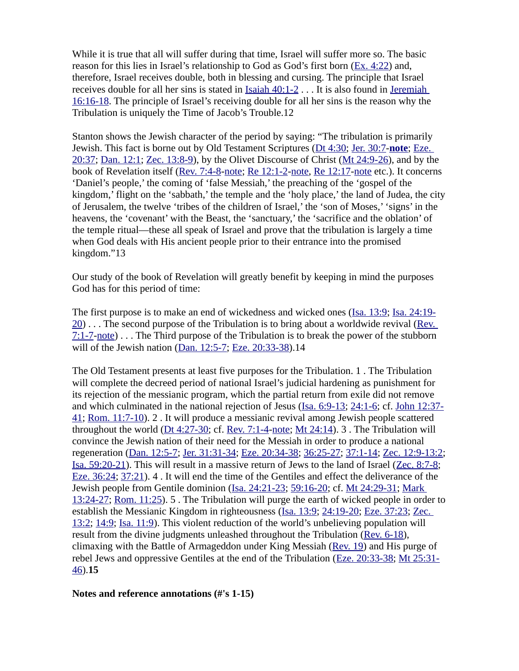While it is true that all will suffer during that time, Israel will suffer more so. The basic reason for this lies in Israel's relationship to God as God's first born ([Ex. 4:22\)](https://biblia.com/bible/niv/Exod.%204.22) and, therefore, Israel receives double, both in blessing and cursing. The principle that Israel receives double for all her sins is stated in [Isaiah 40:1-2](https://biblia.com/bible/niv/Isa%2040.1-2) . . . It is also found in [Jeremiah](https://biblia.com/bible/niv/Jer%2016.16-18)  [16:16-18](https://biblia.com/bible/niv/Jer%2016.16-18). The principle of Israel's receiving double for all her sins is the reason why the Tribulation is uniquely the Time of Jacob's Trouble.12

Stanton shows the Jewish character of the period by saying: "The tribulation is primarily Jewish. This fact is borne out by Old Testament Scriptures [\(Dt 4:30](https://biblia.com/bible/niv/Deut%204.30); [Jer. 30:7](https://biblia.com/bible/niv/Jer.%2030.7)-**[note](https://www.preceptaustin.org/jeremiah_30_commentary#30:7)**; [Eze.](https://biblia.com/bible/niv/Ezek.%2020.37)  [20:37](https://biblia.com/bible/niv/Ezek.%2020.37); [Dan. 12:1](https://biblia.com/bible/niv/Dan.%2012.1); [Zec. 13:8-9\)](https://biblia.com/bible/niv/Zech.%2013.8-9), by the Olivet Discourse of Christ ([Mt 24:9-26](https://biblia.com/bible/niv/Matt%2024.9-26)), and by the book of Revelation itself [\(Rev. 7:4-8](https://biblia.com/bible/niv/Rev.%207.4-8)-[note;](http://www.spiritandtruth.org/teaching/Book_of_Revelation/commentary/htm/030704.htm#3.7.4) [Re 12:1-2-](https://biblia.com/bible/niv/Rev%2012.1-2)[note](http://www.spiritandtruth.org/teaching/Book_of_Revelation/commentary/htm/031201.htm#3.12.1), [Re 12:17](https://biblia.com/bible/niv/Rev%2012.17)-[note](http://www.spiritandtruth.org/teaching/Book_of_Revelation/commentary/htm/031217.htm#3.12.17) etc.). It concerns 'Daniel's people,' the coming of 'false Messiah,' the preaching of the 'gospel of the kingdom,' flight on the 'sabbath,' the temple and the 'holy place,' the land of Judea, the city of Jerusalem, the twelve 'tribes of the children of Israel,' the 'son of Moses,' 'signs' in the heavens, the 'covenant' with the Beast, the 'sanctuary,' the 'sacrifice and the oblation' of the temple ritual—these all speak of Israel and prove that the tribulation is largely a time when God deals with His ancient people prior to their entrance into the promised kingdom."13

Our study of the book of Revelation will greatly benefit by keeping in mind the purposes God has for this period of time:

The first purpose is to make an end of wickedness and wicked ones [\(Isa. 13:9;](https://biblia.com/bible/niv/Isa.%2013.9) [Isa. 24:19-](https://biblia.com/bible/niv/Isa.%2024.19-20) [20](https://biblia.com/bible/niv/Isa.%2024.19-20)) . . . The second purpose of the Tribulation is to bring about a worldwide revival [\(Rev.](https://biblia.com/bible/niv/Rev.%207.1-7)   $7:1-7$ [-note](http://www.spiritandtruth.org/teaching/Book_of_Revelation/commentary/htm/030701.htm#3.7.1))... The Third purpose of the Tribulation is to break the power of the stubborn will of the Jewish nation [\(Dan. 12:5-7](https://biblia.com/bible/niv/Dan.%2012.5-7); [Eze. 20:33-38](https://biblia.com/bible/niv/Ezek.%2020.33-38)).14

The Old Testament presents at least five purposes for the Tribulation. 1 . The Tribulation will complete the decreed period of national Israel's judicial hardening as punishment for its rejection of the messianic program, which the partial return from exile did not remove and which culminated in the national rejection of Jesus ([Isa. 6:9-13](https://biblia.com/bible/niv/Isa.%206.9-13); [24:1-6](https://biblia.com/bible/niv/Isa%2024.1-6); cf. [John 12:37-](https://biblia.com/bible/niv/John%2012.37-41) [41](https://biblia.com/bible/niv/John%2012.37-41); [Rom. 11:7-10\)](https://biblia.com/bible/niv/Rom.%2011.7-10). 2 . It will produce a messianic revival among Jewish people scattered throughout the world ( $Dt$  4:27-30; cf. [Rev. 7:1-4](https://biblia.com/bible/niv/Rev.%207.1-4)[-note](http://www.spiritandtruth.org/teaching/Book_of_Revelation/commentary/htm/030701.htm#3.7.1); [Mt 24:14\)](https://biblia.com/bible/niv/Matt%2024.14). 3. The Tribulation will convince the Jewish nation of their need for the Messiah in order to produce a national regeneration [\(Dan. 12:5-7](https://biblia.com/bible/niv/Dan.%2012.5-7); [Jer. 31:31-34](https://biblia.com/bible/niv/Jer.%2031.31-34); [Eze. 20:34-38](https://biblia.com/bible/niv/Ezek.%2020.34-38); [36:25-27;](https://biblia.com/bible/niv/Eze%2036.25-27) [37:1-14](https://biblia.com/bible/niv/Eze%2037.1-14); [Zec. 12:9-13:2](https://biblia.com/bible/niv/Zech.%2012.9-13.2); [Isa. 59:20-21](https://biblia.com/bible/niv/Isa.%2059.20-21)). This will result in a massive return of Jews to the land of Israel [\(Zec. 8:7-8;](https://biblia.com/bible/niv/Zech.%208.7-8) [Eze. 36:24](https://biblia.com/bible/niv/Ezek.%2036.24); [37:21](https://biblia.com/bible/niv/Eze%2037.21)). 4 . It will end the time of the Gentiles and effect the deliverance of the Jewish people from Gentile dominion (*Isa. 24:21-23; [59:16-20](https://biblia.com/bible/niv/Isa%2059.16-20); cf. [Mt 24:29-31](https://biblia.com/bible/niv/Matt%2024.29-31); Mark* [13:24-27](https://biblia.com/bible/niv/Mark%2013.24-27); [Rom. 11:25](https://biblia.com/bible/niv/Rom.%2011.25)). 5 . The Tribulation will purge the earth of wicked people in order to establish the Messianic Kingdom in righteousness [\(Isa. 13:9;](https://biblia.com/bible/niv/Isa.%2013.9) [24:19-20](https://biblia.com/bible/niv/Isa%2024.19-20); [Eze. 37:23](https://biblia.com/bible/niv/Ezek.%2037.23); [Zec.](https://biblia.com/bible/niv/Zech.%2013.2)  [13:2](https://biblia.com/bible/niv/Zech.%2013.2); [14:9](https://biblia.com/bible/niv/Zec%2014.9); [Isa. 11:9](https://biblia.com/bible/niv/Isa.%2011.9)). This violent reduction of the world's unbelieving population will result from the divine judgments unleashed throughout the Tribulation [\(Rev. 6-18](https://biblia.com/bible/niv/Rev.%206-18)), climaxing with the Battle of Armageddon under King Messiah ([Rev. 19\)](https://biblia.com/bible/niv/Rev.%2019) and His purge of rebel Jews and oppressive Gentiles at the end of the Tribulation ([Eze. 20:33-38](https://biblia.com/bible/niv/Ezek.%2020.33-38); [Mt 25:31-](https://biblia.com/bible/niv/Matt%2025.31-46) [46](https://biblia.com/bible/niv/Matt%2025.31-46)).**15**

#### **Notes and reference annotations (#'s 1-15)**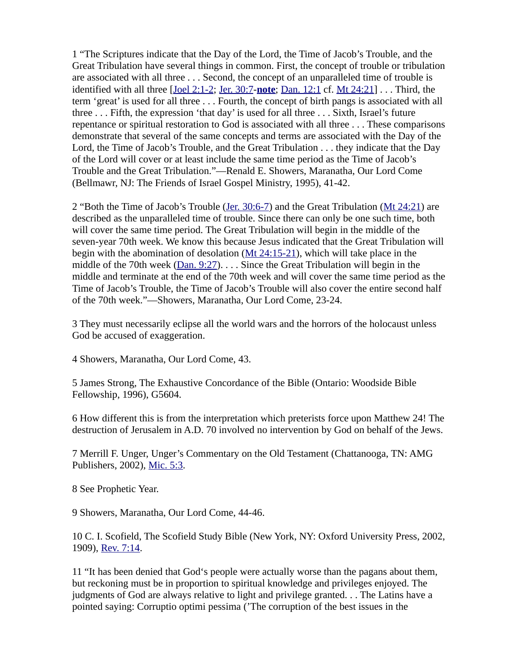1 "The Scriptures indicate that the Day of the Lord, the Time of Jacob's Trouble, and the Great Tribulation have several things in common. First, the concept of trouble or tribulation are associated with all three . . . Second, the concept of an unparalleled time of trouble is identified with all three [\[Joel 2:1-2](https://biblia.com/bible/niv/Joel%202.1-2); [Jer. 30:7](https://biblia.com/bible/niv/Jer.%2030.7)-**[note](https://www.preceptaustin.org/jeremiah_30_commentary#30:7)**; [Dan. 12:1](https://biblia.com/bible/niv/Dan.%2012.1) cf. [Mt 24:21](https://biblia.com/bible/niv/Matt%2024.21)] . . . Third, the term 'great' is used for all three . . . Fourth, the concept of birth pangs is associated with all three . . . Fifth, the expression 'that day' is used for all three . . . Sixth, Israel's future repentance or spiritual restoration to God is associated with all three . . . These comparisons demonstrate that several of the same concepts and terms are associated with the Day of the Lord, the Time of Jacob's Trouble, and the Great Tribulation . . . they indicate that the Day of the Lord will cover or at least include the same time period as the Time of Jacob's Trouble and the Great Tribulation."—Renald E. Showers, Maranatha, Our Lord Come (Bellmawr, NJ: The Friends of Israel Gospel Ministry, 1995), 41-42.

2 "Both the Time of Jacob's Trouble ([Jer. 30:6-7](https://biblia.com/bible/niv/Jer.%2030.6-7)) and the Great Tribulation [\(Mt 24:21\)](https://biblia.com/bible/niv/Matt%2024.21) are described as the unparalleled time of trouble. Since there can only be one such time, both will cover the same time period. The Great Tribulation will begin in the middle of the seven-year 70th week. We know this because Jesus indicated that the Great Tribulation will begin with the abomination of desolation [\(Mt 24:15-21](https://biblia.com/bible/niv/Matt%2024.15-21)), which will take place in the middle of the 70th week ( $Dan. 9:27$ ).  $\ldots$  Since the Great Tribulation will begin in the middle and terminate at the end of the 70th week and will cover the same time period as the Time of Jacob's Trouble, the Time of Jacob's Trouble will also cover the entire second half of the 70th week."—Showers, Maranatha, Our Lord Come, 23-24.

3 They must necessarily eclipse all the world wars and the horrors of the holocaust unless God be accused of exaggeration.

4 Showers, Maranatha, Our Lord Come, 43.

5 James Strong, The Exhaustive Concordance of the Bible (Ontario: Woodside Bible Fellowship, 1996), G5604.

6 How different this is from the interpretation which preterists force upon Matthew 24! The destruction of Jerusalem in A.D. 70 involved no intervention by God on behalf of the Jews.

7 Merrill F. Unger, Unger's Commentary on the Old Testament (Chattanooga, TN: AMG Publishers, 2002), [Mic. 5:3.](https://biblia.com/bible/niv/Micah.%205.3)

8 See Prophetic Year.

9 Showers, Maranatha, Our Lord Come, 44-46.

10 C. I. Scofield, The Scofield Study Bible (New York, NY: Oxford University Press, 2002, 1909), [Rev. 7:14](https://biblia.com/bible/niv/Rev.%207.14).

11 "It has been denied that God's people were actually worse than the pagans about them, but reckoning must be in proportion to spiritual knowledge and privileges enjoyed. The judgments of God are always relative to light and privilege granted. . . The Latins have a pointed saying: Corruptio optimi pessima ('The corruption of the best issues in the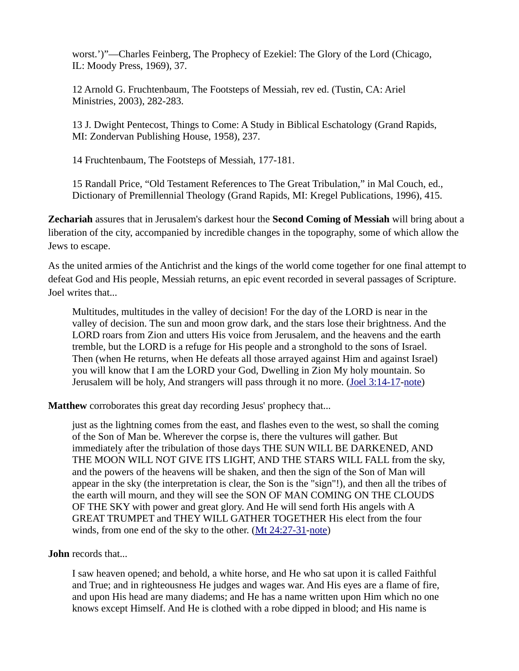worst.')"—Charles Feinberg, The Prophecy of Ezekiel: The Glory of the Lord (Chicago, IL: Moody Press, 1969), 37.

12 Arnold G. Fruchtenbaum, The Footsteps of Messiah, rev ed. (Tustin, CA: Ariel Ministries, 2003), 282-283.

13 J. Dwight Pentecost, Things to Come: A Study in Biblical Eschatology (Grand Rapids, MI: Zondervan Publishing House, 1958), 237.

14 Fruchtenbaum, The Footsteps of Messiah, 177-181.

15 Randall Price, "Old Testament References to The Great Tribulation," in Mal Couch, ed., Dictionary of Premillennial Theology (Grand Rapids, MI: Kregel Publications, 1996), 415.

**Zechariah** assures that in Jerusalem's darkest hour the **Second Coming of Messiah** will bring about a liberation of the city, accompanied by incredible changes in the topography, some of which allow the Jews to escape.

As the united armies of the Antichrist and the kings of the world come together for one final attempt to defeat God and His people, Messiah returns, an epic event recorded in several passages of Scripture. Joel writes that...

Multitudes, multitudes in the valley of decision! For the day of the LORD is near in the valley of decision. The sun and moon grow dark, and the stars lose their brightness. And the LORD roars from Zion and utters His voice from Jerusalem, and the heavens and the earth tremble, but the LORD is a refuge for His people and a stronghold to the sons of Israel. Then (when He returns, when He defeats all those arrayed against Him and against Israel) you will know that I am the LORD your God, Dwelling in Zion My holy mountain. So Jerusalem will be holy, And strangers will pass through it no more. ([Joel 3:14-17-](https://biblia.com/bible/niv/Joel%203.14-17)[note](https://www.preceptaustin.org/joel-3-commentary#3:14))

**Matthew** corroborates this great day recording Jesus' prophecy that...

just as the lightning comes from the east, and flashes even to the west, so shall the coming of the Son of Man be. Wherever the corpse is, there the vultures will gather. But immediately after the tribulation of those days THE SUN WILL BE DARKENED, AND THE MOON WILL NOT GIVE ITS LIGHT, AND THE STARS WILL FALL from the sky, and the powers of the heavens will be shaken, and then the sign of the Son of Man will appear in the sky (the interpretation is clear, the Son is the "sign"!), and then all the tribes of the earth will mourn, and they will see the SON OF MAN COMING ON THE CLOUDS OF THE SKY with power and great glory. And He will send forth His angels with A GREAT TRUMPET and THEY WILL GATHER TOGETHER His elect from the four winds, from one end of the sky to the other. [\(Mt 24:27-31](https://biblia.com/bible/niv/Matt%2024.27-31)[-note](https://www.preceptaustin.org/matthew_2425-28_commentary#24:27))

### **John** records that...

I saw heaven opened; and behold, a white horse, and He who sat upon it is called Faithful and True; and in righteousness He judges and wages war. And His eyes are a flame of fire, and upon His head are many diadems; and He has a name written upon Him which no one knows except Himself. And He is clothed with a robe dipped in blood; and His name is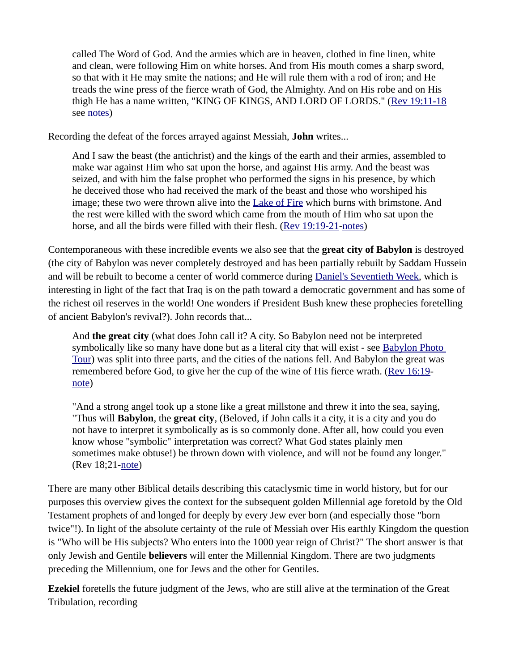called The Word of God. And the armies which are in heaven, clothed in fine linen, white and clean, were following Him on white horses. And from His mouth comes a sharp sword, so that with it He may smite the nations; and He will rule them with a rod of iron; and He treads the wine press of the fierce wrath of God, the Almighty. And on His robe and on His thigh He has a name written, "KING OF KINGS, AND LORD OF LORDS." [\(Rev 19:11-18](https://biblia.com/bible/niv/Rev%2019.11-18)) see [notes\)](http://www.spiritandtruth.org/id/revc.htm?19:11)

Recording the defeat of the forces arrayed against Messiah, **John** writes...

And I saw the beast (the antichrist) and the kings of the earth and their armies, assembled to make war against Him who sat upon the horse, and against His army. And the beast was seized, and with him the false prophet who performed the signs in his presence, by which he deceived those who had received the mark of the beast and those who worshiped his image; these two were thrown alive into the [Lake of Fire](http://studylight.org/enc/isb/view.cgi?number=T5398) which burns with brimstone. And the rest were killed with the sword which came from the mouth of Him who sat upon the horse, and all the birds were filled with their flesh. [\(Rev 19:19-21](https://biblia.com/bible/niv/Rev%2019.19-21)[-notes](http://www.spiritandtruth.org/id/revc.htm?19:19))

Contemporaneous with these incredible events we also see that the **great city of Babylon** is destroyed (the city of Babylon was never completely destroyed and has been partially rebuilt by Saddam Hussein and will be rebuilt to become a center of world commerce during [Daniel's Seventieth Week](https://www.preceptaustin.org/the_millennium_2#70), which is interesting in light of the fact that Iraq is on the path toward a democratic government and has some of the richest oil reserves in the world! One wonders if President Bush knew these prophecies foretelling of ancient Babylon's revival?). John records that...

And **the great city** (what does John call it? A city. So Babylon need not be interpreted symbolically like so many have done but as a literal city that will exist - see Babylon Photo [Tour\)](http://architecture.about.com/library/bl-babylon.htm) was split into three parts, and the cities of the nations fell. And Babylon the great was remembered before God, to give her the cup of the wine of His fierce wrath. ([Rev 16:19](https://biblia.com/bible/niv/Rev%2016.19) [note\)](http://www.spiritandtruth.org/id/revc.htm?16:19)

"And a strong angel took up a stone like a great millstone and threw it into the sea, saying, "Thus will **Babylon**, the **great city**, (Beloved, if John calls it a city, it is a city and you do not have to interpret it symbolically as is so commonly done. After all, how could you even know whose "symbolic" interpretation was correct? What God states plainly men sometimes make obtuse!) be thrown down with violence, and will not be found any longer." (Rev 18;21-[note](http://www.spiritandtruth.org/id/revc.htm?18:21))

There are many other Biblical details describing this cataclysmic time in world history, but for our purposes this overview gives the context for the subsequent golden Millennial age foretold by the Old Testament prophets of and longed for deeply by every Jew ever born (and especially those "born twice"!). In light of the absolute certainty of the rule of Messiah over His earthly Kingdom the question is "Who will be His subjects? Who enters into the 1000 year reign of Christ?" The short answer is that only Jewish and Gentile **believers** will enter the Millennial Kingdom. There are two judgments preceding the Millennium, one for Jews and the other for Gentiles.

**Ezekiel** foretells the future judgment of the Jews, who are still alive at the termination of the Great Tribulation, recording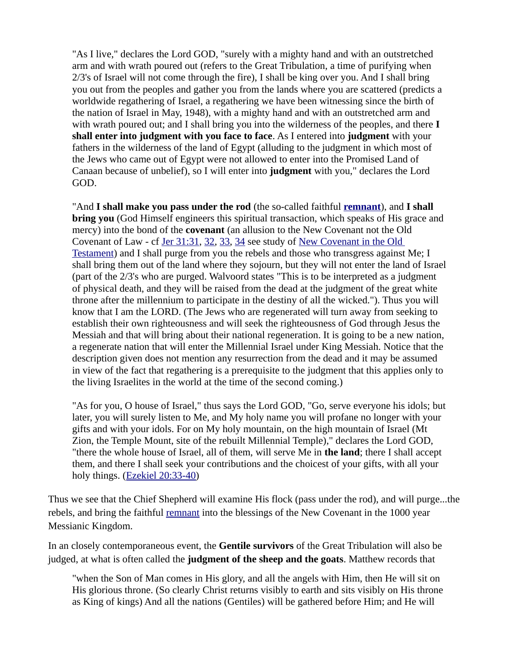"As I live," declares the Lord GOD, "surely with a mighty hand and with an outstretched arm and with wrath poured out (refers to the Great Tribulation, a time of purifying when 2/3's of Israel will not come through the fire), I shall be king over you. And I shall bring you out from the peoples and gather you from the lands where you are scattered (predicts a worldwide regathering of Israel, a regathering we have been witnessing since the birth of the nation of Israel in May, 1948), with a mighty hand and with an outstretched arm and with wrath poured out; and I shall bring you into the wilderness of the peoples, and there **I shall enter into judgment with you face to face**. As I entered into **judgment** with your fathers in the wilderness of the land of Egypt (alluding to the judgment in which most of the Jews who came out of Egypt were not allowed to enter into the Promised Land of Canaan because of unbelief), so I will enter into **judgment** with you," declares the Lord GOD.

"And **I shall make you pass under the rod** (the so-called faithful **[remnant](https://www.preceptaustin.org/remnant-of-israel)**), and **I shall bring you** (God Himself engineers this spiritual transaction, which speaks of His grace and mercy) into the bond of the **covenant** (an allusion to the New Covenant not the Old Covenant of Law - cf [Jer 31:31](https://biblia.com/bible/niv/Jer%2031.31), [32](https://biblia.com/bible/niv/Jer%2031.32), [33](https://biblia.com/bible/niv/Jer%2031.33), [34](https://biblia.com/bible/niv/Jer%2031.34) see study of [New Covenant in the Old](https://www.preceptaustin.org/covenant_new_covenant_in_the_OT)  [Testament](https://www.preceptaustin.org/covenant_new_covenant_in_the_OT)) and I shall purge from you the rebels and those who transgress against Me; I shall bring them out of the land where they sojourn, but they will not enter the land of Israel (part of the 2/3's who are purged. Walvoord states "This is to be interpreted as a judgment of physical death, and they will be raised from the dead at the judgment of the great white throne after the millennium to participate in the destiny of all the wicked."). Thus you will know that I am the LORD. (The Jews who are regenerated will turn away from seeking to establish their own righteousness and will seek the righteousness of God through Jesus the Messiah and that will bring about their national regeneration. It is going to be a new nation, a regenerate nation that will enter the Millennial Israel under King Messiah. Notice that the description given does not mention any resurrection from the dead and it may be assumed in view of the fact that regathering is a prerequisite to the judgment that this applies only to the living Israelites in the world at the time of the second coming.)

"As for you, O house of Israel," thus says the Lord GOD, "Go, serve everyone his idols; but later, you will surely listen to Me, and My holy name you will profane no longer with your gifts and with your idols. For on My holy mountain, on the high mountain of Israel (Mt Zion, the Temple Mount, site of the rebuilt Millennial Temple)," declares the Lord GOD, "there the whole house of Israel, all of them, will serve Me in **the land**; there I shall accept them, and there I shall seek your contributions and the choicest of your gifts, with all your holy things. ([Ezekiel 20:33-40](http://studylight.org/desk/?query=ezek+20))

Thus we see that the Chief Shepherd will examine His flock (pass under the rod), and will purge...the rebels, and bring the faithful [remnant](https://www.preceptaustin.org/remnant-of-israel) into the blessings of the New Covenant in the 1000 year Messianic Kingdom.

In an closely contemporaneous event, the **Gentile survivors** of the Great Tribulation will also be judged, at what is often called the **judgment of the sheep and the goats**. Matthew records that

"when the Son of Man comes in His glory, and all the angels with Him, then He will sit on His glorious throne. (So clearly Christ returns visibly to earth and sits visibly on His throne as King of kings) And all the nations (Gentiles) will be gathered before Him; and He will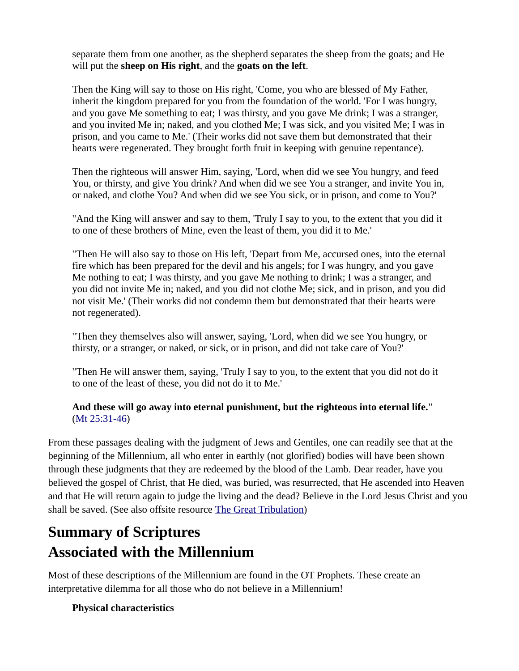separate them from one another, as the shepherd separates the sheep from the goats; and He will put the **sheep on His right**, and the **goats on the left**.

Then the King will say to those on His right, 'Come, you who are blessed of My Father, inherit the kingdom prepared for you from the foundation of the world. 'For I was hungry, and you gave Me something to eat; I was thirsty, and you gave Me drink; I was a stranger, and you invited Me in; naked, and you clothed Me; I was sick, and you visited Me; I was in prison, and you came to Me.' (Their works did not save them but demonstrated that their hearts were regenerated. They brought forth fruit in keeping with genuine repentance).

Then the righteous will answer Him, saying, 'Lord, when did we see You hungry, and feed You, or thirsty, and give You drink? And when did we see You a stranger, and invite You in, or naked, and clothe You? And when did we see You sick, or in prison, and come to You?'

"And the King will answer and say to them, 'Truly I say to you, to the extent that you did it to one of these brothers of Mine, even the least of them, you did it to Me.'

"Then He will also say to those on His left, 'Depart from Me, accursed ones, into the eternal fire which has been prepared for the devil and his angels; for I was hungry, and you gave Me nothing to eat; I was thirsty, and you gave Me nothing to drink; I was a stranger, and you did not invite Me in; naked, and you did not clothe Me; sick, and in prison, and you did not visit Me.' (Their works did not condemn them but demonstrated that their hearts were not regenerated).

"Then they themselves also will answer, saying, 'Lord, when did we see You hungry, or thirsty, or a stranger, or naked, or sick, or in prison, and did not take care of You?'

"Then He will answer them, saying, 'Truly I say to you, to the extent that you did not do it to one of the least of these, you did not do it to Me.'

### **And these will go away into eternal punishment, but the righteous into eternal life.**" [\(Mt 25:31-46](http://studylight.org/desk/?query=mat+25))

From these passages dealing with the judgment of Jews and Gentiles, one can readily see that at the beginning of the Millennium, all who enter in earthly (not glorified) bodies will have been shown through these judgments that they are redeemed by the blood of the Lamb. Dear reader, have you believed the gospel of Christ, that He died, was buried, was resurrected, that He ascended into Heaven and that He will return again to judge the living and the dead? Believe in the Lord Jesus Christ and you shall be saved. (See also offsite resource [The Great Tribulation](http://www.middletownbiblechurch.org/proph/future.htm))

# **Summary of Scriptures Associated with the Millennium**

Most of these descriptions of the Millennium are found in the OT Prophets. These create an interpretative dilemma for all those who do not believe in a Millennium!

## **Physical characteristics**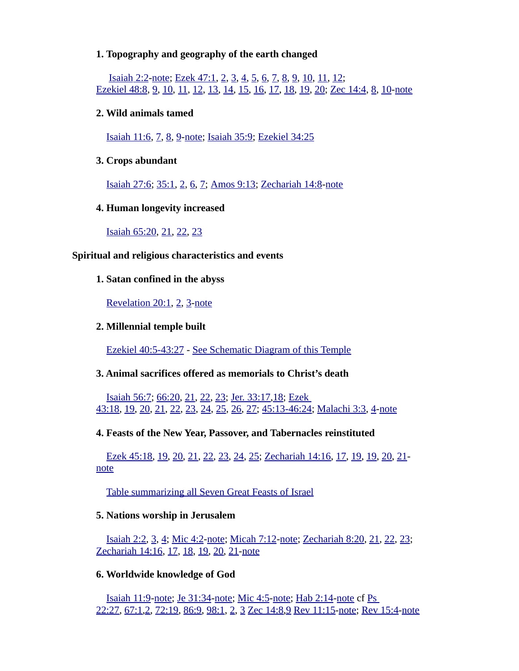#### **1. Topography and geography of the earth changed**

 [Isaiah 2:2](https://biblia.com/bible/niv/Isa%202.2)[-note](https://www.preceptaustin.org/isaiah_21-4_commentary#2:2); [Ezek 47:1,](https://biblia.com/bible/niv/Ezek%2047.1) [2,](https://biblia.com/bible/niv/Ezek%2047.2) [3,](https://biblia.com/bible/niv/Ezek%2047.3) [4,](https://biblia.com/bible/niv/Ezek%2047.4) [5,](https://biblia.com/bible/niv/Ezek%2047.5) [6,](https://biblia.com/bible/niv/Ezek%2047.6) [7,](https://biblia.com/bible/niv/Ezek%2047.7) [8,](https://biblia.com/bible/niv/Ezek%2047.8) [9,](https://biblia.com/bible/niv/Ezek%2047.9) [10,](https://biblia.com/bible/niv/Ezek%2047.10) [11](https://biblia.com/bible/niv/Ezek%2047.11), [12](https://biblia.com/bible/niv/Ezek%2047.12);  [Ezekiel 48:8,](https://biblia.com/bible/niv/Ezek%2048.8) [9,](https://biblia.com/bible/niv/Ezekiel%2048.9) [10,](https://biblia.com/bible/niv/Ezekiel%2048.10) [11](https://biblia.com/bible/niv/Ezekiel%2048.11), [12](https://biblia.com/bible/niv/Ezekiel%2048.12), [13](https://biblia.com/bible/niv/Ezekiel%2048.13), [14](https://biblia.com/bible/niv/Ezekiel%2048.14), [15](https://biblia.com/bible/niv/Ezekiel%2048.15), [16](https://biblia.com/bible/niv/Ezekiel%2048.16), [17](https://biblia.com/bible/niv/Ezekiel%2048.17), [18](https://biblia.com/bible/niv/Ezekiel%2048.18), [19](https://biblia.com/bible/niv/Ezekiel%2048.19), [20](https://biblia.com/bible/niv/Ezekiel%2048.20); [Zec 14:4](https://biblia.com/bible/niv/Zech%2014.4), [8](https://biblia.com/bible/niv/Zec%2014.8), [10](https://biblia.com/bible/niv/Zec%2014.10)[-note](https://www.preceptaustin.org/zechariah-14-commentary#14:4)

#### **2. Wild animals tamed**

[Isaiah 11:6](https://biblia.com/bible/niv/Isa%2011.6), [7](https://biblia.com/bible/niv/Isaiah%2011.7), [8](https://biblia.com/bible/niv/Isaiah%2011.8), [9](https://biblia.com/bible/niv/Isaiah%2011.9)[-note;](https://www.preceptaustin.org/isaiah_11_commentary#11:6) [Isaiah 35:9](https://biblia.com/bible/niv/Isa%2035.9); [Ezekiel 34:25](https://biblia.com/bible/niv/Ezek%2034.25)

#### **3. Crops abundant**

[Isaiah 27:6](https://biblia.com/bible/niv/Isa%2027.6); [35:1](https://biblia.com/bible/niv/Isaiah%2035.1), [2](https://biblia.com/bible/niv/Isaiah%2035.2), [6](https://biblia.com/bible/niv/Isaiah%2035.6), [7](https://biblia.com/bible/niv/Isaiah%2035.7); [Amos 9:13;](https://biblia.com/bible/niv/Amos%209.13) [Zechariah 14:8](https://biblia.com/bible/niv/Zech%2014.8)[-note](https://www.preceptaustin.org/zechariah-14-commentary#14:8)

#### **4. Human longevity increased**

[Isaiah 65:20](https://biblia.com/bible/niv/Isa%2065.20), [21](https://biblia.com/bible/niv/Isaiah%2065.21), [22](https://biblia.com/bible/niv/Isaiah%2065.22), [23](https://biblia.com/bible/niv/Isaiah%2065.23)

#### **Spiritual and religious characteristics and events**

#### **1. Satan confined in the abyss**

[Revelation 20:1,](https://biblia.com/bible/niv/Rev%2020.1) [2,](https://biblia.com/bible/niv/Revelation%2020.2) [3-](https://biblia.com/bible/niv/Revelation%2020.3)[note](http://www.spiritandtruth.org/id/revc.htm?20:1)

#### **2. Millennial temple built**

 [Ezekiel 40:5-43:27](https://biblia.com/bible/niv/Ezek%2040.5-43.27) - [See Schematic Diagram of this Temple](https://www.esv.org/resources/esv-global-study-bible/chart_26_temple_plan/)

#### **3. Animal sacrifices offered as memorials to Christ's death**

[Isaiah 56:7](https://biblia.com/bible/niv/Isa%2056.7); [66:20](https://biblia.com/bible/niv/Isaiah%2066.20), [21](https://biblia.com/bible/niv/Isaiah%2066.21), [22](https://biblia.com/bible/niv/Isaiah%2066.22), [23](https://biblia.com/bible/niv/Isaiah%2066.23); [Jer. 33:17](https://biblia.com/bible/niv/Jer.%2033.17)[,18](https://biblia.com/bible/niv/Jer%2033.18); [Ezek](https://biblia.com/bible/niv/Ezek%2043.18)  [43:18,](https://biblia.com/bible/niv/Ezek%2043.18) [19,](https://biblia.com/bible/niv/Ezek%2043.19) [20,](https://biblia.com/bible/niv/Ezek%2043.20) [21,](https://biblia.com/bible/niv/Ezek%2043.21) [22,](https://biblia.com/bible/niv/Ezek%2043.22) [23,](https://biblia.com/bible/niv/Ezek%2043.23) [24,](https://biblia.com/bible/niv/Ezek%2043.24) [25,](https://biblia.com/bible/niv/Ezek%2043.25) [26,](https://biblia.com/bible/niv/Ezek%2043.26) [27;](https://biblia.com/bible/niv/Ezek%2043.27) [45:13-46:24;](https://biblia.com/bible/niv/Ezek%2045.13-46.24) [Malachi 3:3,](https://biblia.com/bible/niv/Mal%203.3) [4-](https://biblia.com/bible/niv/Malachi%203.4)[note](https://www.preceptaustin.org/_commentary#)

#### **4. Feasts of the New Year, Passover, and Tabernacles reinstituted**

[Ezek 45:18,](https://biblia.com/bible/niv/Ezek%2045.18) [19,](https://biblia.com/bible/niv/Ezek%2045.19) [20,](https://biblia.com/bible/niv/Ezek%2045.20) [21,](https://biblia.com/bible/niv/Ezek%2045.21) [22,](https://biblia.com/bible/niv/Ezek%2045.22) [23,](https://biblia.com/bible/niv/Ezek%2045.23) [24,](https://biblia.com/bible/niv/Ezek%2045.24) [25;](https://biblia.com/bible/niv/Ezek%2045.25) [Zechariah 14:16](https://biblia.com/bible/niv/Zech%2014.16), [17](https://biblia.com/bible/niv/Zechariah%2014.17), [19](https://biblia.com/bible/niv/Zechariah%2014.19), [19](https://biblia.com/bible/niv/Zechariah%2014.19), [20](https://biblia.com/bible/niv/Zechariah%2014.20), [21](https://biblia.com/bible/niv/Zechariah%2014.21) [note](https://www.preceptaustin.org/zechariah-14-commentary#14:16)

[Table summarizing all Seven Great Feasts of Israel](https://www.preceptaustin.org/leviticus_23_commentary#t)

#### **5. Nations worship in Jerusalem**

[Isaiah 2:2](https://biblia.com/bible/niv/Isa%202.2), [3](https://biblia.com/bible/niv/Isaiah%202.3), [4](https://biblia.com/bible/niv/Isaiah%202.4); [Mic 4:2](https://biblia.com/bible/niv/Micah%204.2)[-note](https://www.preceptaustin.org/micah_4_commentary#4:2); [Micah 7:12](https://biblia.com/bible/niv/Micah%207.12)[-note](https://www.preceptaustin.org/micah_7_commentary#7:12); [Zechariah 8:20,](https://biblia.com/bible/niv/Zech%208.20) [21,](https://biblia.com/bible/niv/Zechariah%208.21) [22,](https://biblia.com/bible/niv/Zechariah%208.22) [23;](https://biblia.com/bible/niv/Zechariah%208.23) [Zechariah 14:16,](https://biblia.com/bible/niv/Zech%2014.16) [17,](https://biblia.com/bible/niv/Zechariah%2014.17) [18,](https://biblia.com/bible/niv/Zechariah%2014.18) [19,](https://biblia.com/bible/niv/Zechariah%2014.19) [20,](https://biblia.com/bible/niv/Zechariah%2014.20) [21-](https://biblia.com/bible/niv/Zechariah%2014.21)[note](https://www.preceptaustin.org/zechariah-14-commentary#14:16)

#### **6. Worldwide knowledge of God**

[Isaiah 11:9](https://biblia.com/bible/niv/Isa%2011.9)[-note;](https://www.preceptaustin.org/isaiah_11_commentary#11:9) [Je 31:34](https://biblia.com/bible/niv/Jer%2031.34)[-note](https://www.preceptaustin.org/jeremiah_31_commentary#31:34); [Mic 4:5](https://biblia.com/bible/niv/Micah%204.5)[-note;](https://www.preceptaustin.org/micah_4_commentary#4:5) [Hab 2:14](https://biblia.com/bible/niv/Hab%202.14)[-note](https://www.preceptaustin.org/habakkuk_2_commentary#2:4) cf [Ps](https://biblia.com/bible/niv/Ps%2022.27)  [22:27,](https://biblia.com/bible/niv/Ps%2022.27) [67:1](https://biblia.com/bible/niv/Ps%2067.1)[,2](https://biblia.com/bible/niv/Ps%2067.2), [72:19,](https://biblia.com/bible/niv/Ps%2072.19) [86:9,](https://biblia.com/bible/niv/Ps%2086.9) [98:1](https://biblia.com/bible/niv/Ps%2098.1), [2](https://biblia.com/bible/niv/Ps%2098.2), [3](https://biblia.com/bible/niv/Ps%2098.3) [Zec 14:8](https://biblia.com/bible/niv/Zech%2014.8)[,9](https://biblia.com/bible/niv/Zec%2014.9) [Rev 11:15-](https://biblia.com/bible/niv/Rev%2011.15)[note](http://www.spiritandtruth.org/id/revc.htm?11:15); [Rev 15:4](https://biblia.com/bible/niv/Rev%2015.4)[-note](http://www.spiritandtruth.org/id/revc.htm?15:4)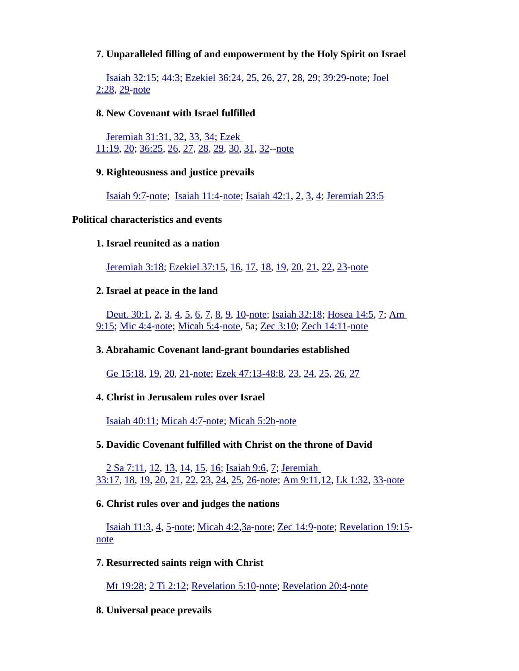### **7. Unparalleled filling of and empowerment by the Holy Spirit on Israel**

[Isaiah 32:15](https://biblia.com/bible/niv/Isa%2032.15); [44:3](https://biblia.com/bible/niv/Isaiah%2044.3); [Ezekiel 36:24,](https://biblia.com/bible/niv/Ezek%2036.24) [25,](https://biblia.com/bible/niv/Ezekiel%2036.25) [26,](https://biblia.com/bible/niv/Ezekiel%2036.26) [27,](https://biblia.com/bible/niv/Ezekiel%2036.27) [28,](https://biblia.com/bible/niv/Ezekiel%2036.28) [29;](https://biblia.com/bible/niv/Ezekiel%2036.29) [39:29](https://biblia.com/bible/niv/Ezekiel%2039.29)[-note](https://www.preceptaustin.org/exekiel_36_commentary#36:24); [Joel](https://biblia.com/bible/niv/Joel%202.28)  [2:28,](https://biblia.com/bible/niv/Joel%202.28) [29-](https://biblia.com/bible/niv/Joel%202.29)[note](https://www.preceptaustin.org/joel-2-commentary#2:28)

#### **8. New Covenant with Israel fulfilled**

 [Jeremiah 31:31](https://biblia.com/bible/niv/Jer%2031.31), [32](https://biblia.com/bible/niv/Jeremiah%2031.32), [33](https://biblia.com/bible/niv/Jeremiah%2031.33), [34](https://biblia.com/bible/niv/Jeremiah%2031.34); [Ezek](https://biblia.com/bible/niv/Ezek%2011.19)  [11:19](https://biblia.com/bible/niv/Ezek%2011.19), [20](https://biblia.com/bible/niv/Ezek%2011.20); [36:25](https://biblia.com/bible/niv/Ezek%2036.25), [26](https://biblia.com/bible/niv/Ezek%2036.26), [27](https://biblia.com/bible/niv/Ezek%2036.27), [28](https://biblia.com/bible/niv/Ezek%2036.28), [29](https://biblia.com/bible/niv/Ezek%2036.29), [30](https://biblia.com/bible/niv/Ezek%2036.30), [31](https://biblia.com/bible/niv/Ezek%2036.31), [32](https://biblia.com/bible/niv/Ezek%2036.32)-[-note](https://www.preceptaustin.org/ezekiel_11_commentary#11:19)

#### **9. Righteousness and justice prevails**

[Isaiah 9:7](https://biblia.com/bible/niv/Isa%209.7)[-note](https://www.preceptaustin.org/isaiah_9_commentary#9:7); [Isaiah 11:4](https://biblia.com/bible/niv/Isa%2011.4)[-note;](https://www.preceptaustin.org/isaiah_11_commentary#11:4) [Isaiah 42:1](https://biblia.com/bible/niv/Isa%2042.1), [2](https://biblia.com/bible/niv/Isaiah%2042.2), [3](https://biblia.com/bible/niv/Isaiah%2042.3), [4](https://biblia.com/bible/niv/Isaiah%2042.4); [Jeremiah 23:5](https://biblia.com/bible/niv/Jer%2023.5)

#### **Political characteristics and events**

#### **1. Israel reunited as a nation**

 [Jeremiah 3:18](https://biblia.com/bible/niv/Jer%203.18); [Ezekiel 37:15,](https://biblia.com/bible/niv/Ezek%2037.15) [16,](https://biblia.com/bible/niv/Ezekiel%2037.16) [17,](https://biblia.com/bible/niv/Ezekiel%2037.17) [18,](https://biblia.com/bible/niv/Ezekiel%2037.18) [19,](https://biblia.com/bible/niv/Ezekiel%2037.19) [20,](https://biblia.com/bible/niv/Ezekiel%2037.20) [21,](https://biblia.com/bible/niv/Ezekiel%2037.21) [22,](https://biblia.com/bible/niv/Ezekiel%2037.22) [23-](https://biblia.com/bible/niv/Ezekiel%2037.23)[note](https://www.preceptaustin.org/ezekiel_37_commentary#37:15)

#### **2. Israel at peace in the land**

[Deut. 30:1](https://biblia.com/bible/niv/Deut.%2030.1), [2](https://biblia.com/bible/niv/Deut%2030.2), [3](https://biblia.com/bible/niv/Deut%2030.3), [4](https://biblia.com/bible/niv/Deut%2030.4), [5](https://biblia.com/bible/niv/Deut%2030.5), [6](https://biblia.com/bible/niv/Deut%2030.6), [7](https://biblia.com/bible/niv/Deut%2030.7), [8](https://biblia.com/bible/niv/Deut%2030.8), [9](https://biblia.com/bible/niv/Deut%2030.9), [10](https://biblia.com/bible/niv/Deut%2030.10)[-note;](https://www.preceptaustin.org/deuteronomy-30-commentary#30:1) [Isaiah 32:18](https://biblia.com/bible/niv/Isa%2032.18); [Hosea 14:5,](https://biblia.com/bible/niv/Hos%2014.5) [7;](https://biblia.com/bible/niv/Hosea%2014.7) [Am](https://biblia.com/bible/niv/Amos%209.15)  [9:15;](https://biblia.com/bible/niv/Amos%209.15) [Mic 4:4-](https://biblia.com/bible/niv/Micah%204.4)[note](https://www.preceptaustin.org/micah_4_commentary#4:4); [Micah 5:4-](https://biblia.com/bible/niv/Micah%205.4)[note](https://www.preceptaustin.org/micah_5_commentary#5:4), 5a; [Zec 3:10](https://biblia.com/bible/niv/Zech%203.10); [Zech 14:11-](https://biblia.com/bible/niv/Zech%2014.11)[note](https://www.preceptaustin.org/zechariah-14-commentary#14:11)

**3. Abrahamic Covenant land-grant boundaries established**

[Ge 15:18,](https://biblia.com/bible/niv/Gen%2015.18) [19,](https://biblia.com/bible/niv/Ge%2015.19) [20,](https://biblia.com/bible/niv/Ge%2015.20) [21-](https://biblia.com/bible/niv/Ge%2015.21)[note](https://www.preceptaustin.org/genesis-15-commentary#15:18); [Ezek 47:13-48:8](https://biblia.com/bible/niv/Ezek%2047.13-48.8), [23](https://biblia.com/bible/niv/Ezek%2047.23), [24](https://biblia.com/bible/niv/Ezek%2047.24), [25](https://biblia.com/bible/niv/Ezek%2047.25), [26](https://biblia.com/bible/niv/Ezek%2047.26), [27](https://biblia.com/bible/niv/Ezek%2047.27)

**4. Christ in Jerusalem rules over Israel**

[Isaiah 40:11](https://biblia.com/bible/niv/Isa%2040.11); [Micah 4:7](https://biblia.com/bible/niv/Micah%204.7)[-note](https://www.preceptaustin.org/micah_4_commentary#4:7); [Micah 5:2b](https://biblia.com/bible/niv/Micah%205.2b)[-note](https://www.preceptaustin.org/micah_5_commentary#5:2)

#### **5. Davidic Covenant fulfilled with Christ on the throne of David**

[2 Sa 7:11](https://biblia.com/bible/niv/2%20Sam%207.11), [12](https://biblia.com/bible/niv/2%20Sa%207.12), [13](https://biblia.com/bible/niv/2%20Sa%207.13), [14](https://biblia.com/bible/niv/2%20Sa%207.14), [15](https://biblia.com/bible/niv/2%20Sa%207.15), [16](https://biblia.com/bible/niv/2%20Sa%207.16); [Isaiah 9:6,](https://biblia.com/bible/niv/Isa%209.6) [7;](https://biblia.com/bible/niv/Isaiah%209.7) [Jeremiah](https://biblia.com/bible/niv/Jer%2033.17)  [33:17,](https://biblia.com/bible/niv/Jer%2033.17) [18,](https://biblia.com/bible/niv/Jeremiah%2033.18) [19,](https://biblia.com/bible/niv/Jeremiah%2033.19) [20,](https://biblia.com/bible/niv/Jeremiah%2033.20) [21,](https://biblia.com/bible/niv/Jeremiah%2033.21) [22,](https://biblia.com/bible/niv/Jeremiah%2033.22) [23,](https://biblia.com/bible/niv/Jeremiah%2033.23) [24,](https://biblia.com/bible/niv/Jeremiah%2033.24) [25,](https://biblia.com/bible/niv/Jeremiah%2033.25) [26-](https://biblia.com/bible/niv/Jeremiah%2033.26)[note](https://www.preceptaustin.org/jeremiah_33_commentary#33:17); [Am 9:11,](https://biblia.com/bible/niv/Amos%209.11)[12,](https://biblia.com/bible/niv/Am%209.12) [Lk 1:32](https://biblia.com/bible/niv/Luke%201.32), [33](https://biblia.com/bible/niv/Lk%201.33)[-note](https://www.preceptaustin.org/luke-1-commentary#1:32)

#### **6. Christ rules over and judges the nations**

[Isaiah 11:3](https://biblia.com/bible/niv/Isa%2011.3), [4](https://biblia.com/bible/niv/Isaiah%2011.4), [5](https://biblia.com/bible/niv/Isaiah%2011.5)[-note;](https://www.preceptaustin.org/isaiah_11_commentary#11:3) [Micah 4:2](https://biblia.com/bible/niv/Micah%204.2)[,3a](https://biblia.com/bible/niv/Micah%204.3a)[-note](https://www.preceptaustin.org/micah_4_commentary#4:2); [Zec 14:9-](https://biblia.com/bible/niv/Zech%2014.9)[note](https://www.preceptaustin.org/zechariah-14-commentary#14:9); [Revelation 19:15](https://biblia.com/bible/niv/Rev%2019.15) [note](http://www.spiritandtruth.org/id/revc.htm?19:15)

#### **7. Resurrected saints reign with Christ**

[Mt 19:28;](https://biblia.com/bible/niv/Matt%2019.28) [2 Ti 2:12;](https://biblia.com/bible/niv/2%20Tim%202.12) [Revelation 5:10](https://biblia.com/bible/niv/Rev%205.10)[-note;](http://www.spiritandtruth.org/id/revc.htm?5:10) [Revelation 20:4](https://biblia.com/bible/niv/Rev%2020.4)[-note](http://www.spiritandtruth.org/id/revc.htm?20:4)

**8. Universal peace prevails**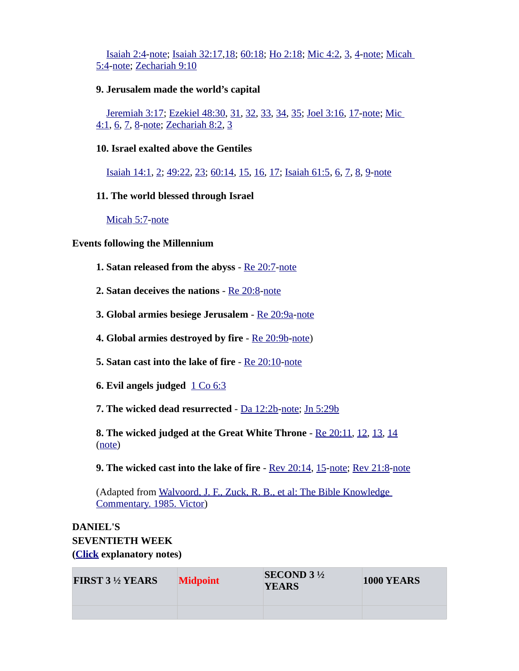[Isaiah 2:4](https://biblia.com/bible/niv/Isa%202.4)[-note](https://www.preceptaustin.org/isaiah_21-4_commentary#2:4); [Isaiah 32:17](https://biblia.com/bible/niv/Isa%2032.17)[,18](https://biblia.com/bible/niv/Isaiah%2032.18); [60:18](https://biblia.com/bible/niv/Isaiah%2060.18); [Ho 2:18;](https://biblia.com/bible/niv/Hos%202.18) [Mic 4:2,](https://biblia.com/bible/niv/Micah%204.2) [3,](https://biblia.com/bible/niv/Mic%204.3) [4](https://biblia.com/bible/niv/Mic%204.4)[-note](https://www.preceptaustin.org/micah_4_commentary#4:2); [Micah](https://biblia.com/bible/niv/Micah%205.4)  [5:4-](https://biblia.com/bible/niv/Micah%205.4)[note](https://www.preceptaustin.org/micah_5_commentary#5:4); [Zechariah 9:10](https://biblia.com/bible/niv/Zech%209.10)

#### **9. Jerusalem made the world's capital**

[Jeremiah 3:17](https://biblia.com/bible/niv/Jer%203.17); [Ezekiel 48:30,](https://biblia.com/bible/niv/Ezek%2048.30) [31,](https://biblia.com/bible/niv/Ezekiel%2048.31) [32,](https://biblia.com/bible/niv/Ezekiel%2048.32) [33,](https://biblia.com/bible/niv/Ezekiel%2048.33) [34,](https://biblia.com/bible/niv/Ezekiel%2048.34) [35;](https://biblia.com/bible/niv/Ezekiel%2048.35) [Joel 3:16,](https://biblia.com/bible/niv/Joel%203.16) [17-](https://biblia.com/bible/niv/Joel%203.17)[note](https://www.preceptaustin.org/joel-3-commentary#3:16); [Mic](https://biblia.com/bible/niv/Micah%204.1)  [4:1,](https://biblia.com/bible/niv/Micah%204.1) [6,](https://biblia.com/bible/niv/Mic%204.6) [7,](https://biblia.com/bible/niv/Mic%204.7) [8-](https://biblia.com/bible/niv/Mic%204.8)[note](https://www.preceptaustin.org/micah_4_commentary#4:1); [Zechariah 8:2](https://biblia.com/bible/niv/Zech%208.2), [3](https://biblia.com/bible/niv/Zechariah%208.3)

#### **10. Israel exalted above the Gentiles**

[Isaiah 14:1](https://biblia.com/bible/niv/Isa%2014.1), [2](https://biblia.com/bible/niv/Isaiah%2014.2); [49:22](https://biblia.com/bible/niv/Isaiah%2049.22), [23](https://biblia.com/bible/niv/Isaiah%2049.23); [60:14,](https://biblia.com/bible/niv/Isaiah%2060.14) [15,](https://biblia.com/bible/niv/Isaiah%2060.15) [16,](https://biblia.com/bible/niv/Isaiah%2060.16) [17;](https://biblia.com/bible/niv/Isaiah%2060.17) [Isaiah 61:5](https://biblia.com/bible/niv/Isa%2061.5), [6](https://biblia.com/bible/niv/Isaiah%2061.6), [7](https://biblia.com/bible/niv/Isaiah%2061.7), [8](https://biblia.com/bible/niv/Isaiah%2061.8), [9](https://biblia.com/bible/niv/Isaiah%2061.9)[-note](https://www.preceptaustin.org/isaiah-61-commentary#61:5)

#### **11. The world blessed through Israel**

 [Micah 5:7](https://biblia.com/bible/niv/Micah%205.7)[-note](https://www.preceptaustin.org/micah_5_commentary#5:7)

#### **Events following the Millennium**

- **1. Satan released from the abyss** [Re 20:7](https://biblia.com/bible/niv/Rev%2020.7)[-note](http://www.spiritandtruth.org/id/revc.htm?20:7)
- **2. Satan deceives the nations** - [Re 20:8-](https://biblia.com/bible/niv/Rev%2020.8)[note](http://www.spiritandtruth.org/id/revc.htm?20:8)
- **3. Global armies besiege Jerusalem** - [Re 20:9a](https://biblia.com/bible/niv/Rev%2020.9a)[-note](http://www.spiritandtruth.org/id/revc.htm?20:9)
- **4. Global armies destroyed by fire** - [Re 20:9b-](https://biblia.com/bible/niv/Rev%2020.9b)[note](http://www.spiritandtruth.org/id/revc.htm?20:9))
- **5. Satan cast into the lake of fire** [Re 20:10](https://biblia.com/bible/niv/Rev%2020.10)[-note](http://www.spiritandtruth.org/id/revc.htm?20:10)
- **6. Evil angels judged** [1 Co 6:3](https://biblia.com/bible/niv/1%20Cor%206.3)

**7. The wicked dead resurrected** - [Da 12:2b](https://biblia.com/bible/niv/Dan%2012.2b)[-note;](https://www.preceptaustin.org/daniel_12_commentary#12:2) [Jn 5:29b](https://biblia.com/bible/niv/John%205.29b)

**8. The wicked judged at the Great White Throne** - [Re 20:11](https://biblia.com/bible/niv/Rev%2020.11), [12](https://biblia.com/bible/niv/Re%2020.12), [13](https://biblia.com/bible/niv/Re%2020.13), [14](https://biblia.com/bible/niv/Re%2020.14) [\(note](http://www.spiritandtruth.org/id/revc.htm?20:11))

**9. The wicked cast into the lake of fire** - [Rev 20:14](https://biblia.com/bible/niv/Rev%2020.14), [15](https://biblia.com/bible/niv/Rev%2020.15)[-note;](http://www.spiritandtruth.org/id/revc.htm?20:14) [Rev 21:8-](https://biblia.com/bible/niv/Rev%2021.8)[note](http://www.spiritandtruth.org/id/revc.htm?21:8)

(Adapted from [Walvoord, J. F., Zuck, R. B., et al: The Bible Knowledge](https://www.amazon.com/exec/obidos/tg/detail/-/089693800X?v=glance)  [Commentary. 1985. Victor](https://www.amazon.com/exec/obidos/tg/detail/-/089693800X?v=glance))

## **DANIEL'S SEVENTIETH WEEK [\(Click](https://www.preceptaustin.org/the_millennium_2#d) explanatory notes)**

| <b>FIRST 3 ½ YEARS</b> | <b>Midpoint</b> | SECOND $3\frac{1}{2}$<br><b>YEARS</b> | <b>1000 YEARS</b> |
|------------------------|-----------------|---------------------------------------|-------------------|
|                        |                 |                                       |                   |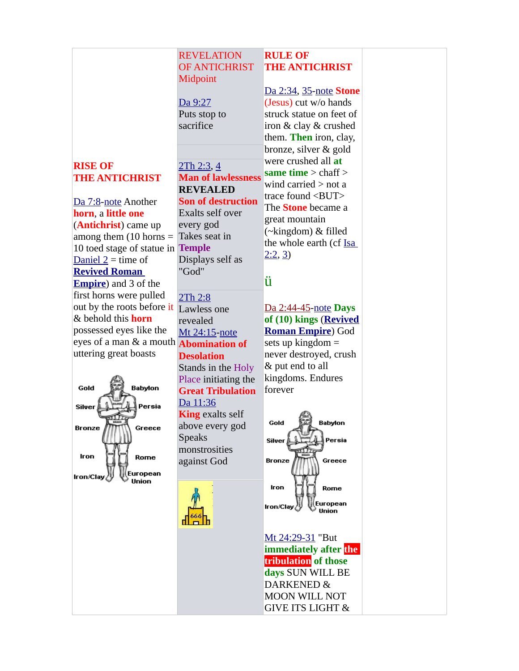#### **REVELATION** OF ANTICHRIST **Midpoint RULE OF THE ANTICHRIST**

#### [Da 9:27](https://biblia.com/bible/niv/Dan%209.27) Puts stop to sacrifice

## **RISE OF THE ANTICHRIST**

[Da 7:8-](https://biblia.com/bible/niv/Dan%207.8)[note](https://www.preceptaustin.org/daniel_7_commentary2#7:8) Another **horn**, a **little one** (**Antichrist**) came up among them  $(10$  horns = 10 toed stage of statue in **Temple** Daniel  $2 =$  time of **[Revived Roman](http://bible.org/page.php?page_id=5524)  [Empire](http://bible.org/page.php?page_id=5524)**) and 3 of the first horns were pulled out by the roots before it **Lawless** one & behold this **horn** possessed eyes like the eyes of a man & a mouth **Abomination of**  uttering great boasts



## [2Th 2:3,](https://biblia.com/bible/niv/2%20Thess%202.3) [4](https://biblia.com/bible/niv/2Th%202.4) **Man of lawlessness REVEALED Son of destruction** Exalts self over every god Takes seat in Displays self as "God"

## [2Th 2:8](https://biblia.com/bible/niv/2%20Thess%202.8)

revealed [Mt 24:15](https://biblia.com/bible/niv/Matt%2024.15)[-note](https://www.preceptaustin.org/matthew_2415_commentary) **Desolation** Stands in the Holy Place initiating the **Great Tribulation** [Da 11:36](https://biblia.com/bible/niv/Dan%2011.36) **King** exalts self above every god Speaks monstrosities against God



[Da 2:34](https://biblia.com/bible/niv/Dan%202.34), [35](https://biblia.com/bible/niv/Da%202.35)[-note](https://www.preceptaustin.org/daniel_2_commentary2#2:34) **Stone** (Jesus) cut w/o hands struck statue on feet of iron & clay & crushed them. **Then** iron, clay, bronze, silver & gold were crushed all **at same time** > chaff > wind carried > not a trace found <BUT> The **Stone** became a great mountain (~kingdom) & filled the whole earth (cf [Isa](http://studylight.org/desk/?query=isa+2)   $2:2,3$  $2:2,3$ 

## ü

[Da 2:44-45](http://studylight.org/desk/?query=da+2)[-note](https://www.preceptaustin.org/daniel_2_commentary2#2:44) **Days of (10) kings** (**[Revived](http://bible.org/page.php?page_id=5524) [Roman Empire](http://bible.org/page.php?page_id=5524)**) God sets up kingdom = never destroyed, crush & put end to all kingdoms. Endures forever



[Mt 24:29-31](http://studylight.org/desk/?query=mt+24) "But **immediately after the tribulation of those days** SUN WILL BE DARKENED & MOON WILL NOT GIVE ITS LIGHT &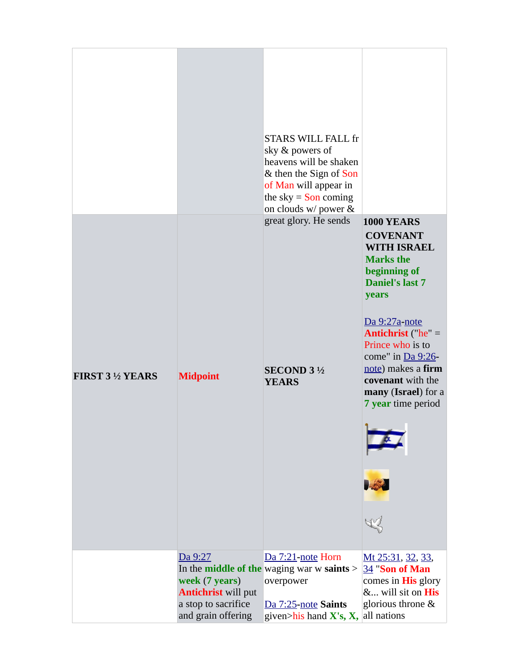|                          |                                                                                                      | <b>STARS WILL FALL fr</b><br>sky & powers of<br>heavens will be shaken<br>& then the Sign of Son<br>of Man will appear in<br>the sky $=$ Son coming<br>on clouds w/ power & |                                                                                                                                                                                         |
|--------------------------|------------------------------------------------------------------------------------------------------|-----------------------------------------------------------------------------------------------------------------------------------------------------------------------------|-----------------------------------------------------------------------------------------------------------------------------------------------------------------------------------------|
|                          |                                                                                                      | great glory. He sends                                                                                                                                                       | <b>1000 YEARS</b><br><b>COVENANT</b><br><b>WITH ISRAEL</b><br><b>Marks the</b><br>beginning of<br><b>Daniel's last 7</b>                                                                |
| <b>FIRST 3 1/2 YEARS</b> | <b>Midpoint</b>                                                                                      | <b>SECOND 3 1/2</b><br><b>YEARS</b>                                                                                                                                         | years<br>Da 9:27a-note<br><b>Antichrist</b> ("he" =<br>Prince who is to<br>come" in $Da 9:26$ -<br>note) makes a firm<br>covenant with the<br>many (Israel) for a<br>7 year time period |
|                          |                                                                                                      |                                                                                                                                                                             | ۹<br>JSJ                                                                                                                                                                                |
|                          | Da 9:27<br>week (7 years)<br><b>Antichrist</b> will put<br>a stop to sacrifice<br>and grain offering | Da 7:21-note Horn<br>In the <b>middle of the</b> waging war w saints ><br>overpower<br>Da 7:25-note Saints<br>given>his hand $X's$ , $X$ , all nations                      | Mt 25:31, 32, 33,<br>34 "Son of Man<br>comes in <b>His</b> glory<br>& will sit on His<br>glorious throne &                                                                              |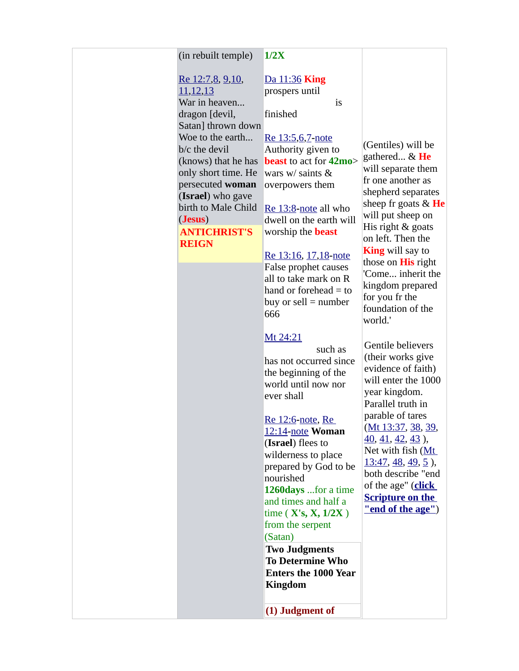#### (in rebuilt temple) **1/2X**

[Re 12:7](https://biblia.com/bible/niv/Rev%2012.7)[,8,](https://biblia.com/bible/niv/Re%2012.8) [9](https://biblia.com/bible/niv/Re%2012.9)[,10,](https://biblia.com/bible/niv/Re%2012.10) [11](https://biblia.com/bible/niv/Re%2012.11)[,12](https://biblia.com/bible/niv/Re%2012.12)[,13](https://biblia.com/bible/niv/Re%2012.13) War in heaven... dragon [devil, Satan] thrown down Woe to the earth... b/c the devil only short time. He persecuted **woman** (**Israel**) who gave (**Jesus**) **ANTICHRIST'S REIGN**

## [Da 11:36](https://biblia.com/bible/niv/Dan%2011.36) **King**

prospers until **theIIndignation** is

finished

[Re 13:5,](https://biblia.com/bible/niv/Rev%2013.5)[6,](https://biblia.com/bible/niv/Re%2013.6)[7](https://biblia.com/bible/niv/Re%2013.7)**-**[note](http://www.spiritandtruth.org/id/revc.htm?13:5)

(knows) that he has **beast** to act for **42mo**> Authority given to wars w/ saints & overpowers them

birth to Male Child [Re 13:8](https://biblia.com/bible/niv/Rev%2013.8)**-**[note](http://www.spiritandtruth.org/id/revc.htm?13:8) all who dwell on the earth will worship the **beast**

#### [Re 13:16,](https://biblia.com/bible/niv/Rev%2013.16) [17,](https://biblia.com/bible/niv/Re%2013.17)[18](https://biblia.com/bible/niv/Re%2013.18)**-**[note](http://www.spiritandtruth.org/id/revc.htm?13:16)

False prophet causes all to take mark on R hand or forehead  $=$  to buy or sell  $=$  number 666

#### [Mt 24:21](https://biblia.com/bible/niv/Matt%2024.21)

such as has not occurred since the beginning of the world until now nor ever shall

[Re 12:6](https://biblia.com/bible/niv/Rev%2012.6)**-**[note](http://www.spiritandtruth.org/id/revc.htm?12:6), [Re](https://biblia.com/bible/niv/Rev%2012.14)  [12:14](https://biblia.com/bible/niv/Rev%2012.14)**-**[note](http://www.spiritandtruth.org/id/revc.htm?12:14) **Woman** (**Israel**) flees to wilderness to place prepared by God to be nourished **1260days** ...for a time and times and half a time ( **X's, X, 1/2X** ) from the serpent (Satan)

**Two Judgments To Determine Who Enters the 1000 Year Kingdom**

**(1) Judgment of** 

(Gentiles) will be gathered... & **He** will separate them fr one another as shepherd separates sheep fr goats & **He** will put sheep on His right & goats on left. Then the **King** will say to those on **His** right 'Come... inherit the kingdom prepared for you fr the foundation of the world.'

[Ge](https://biblia.com/bible/niv/Mt%2013.40)[n](https://biblia.com/bible/niv/Matt%2013.37)[til](https://biblia.com/bible/niv/Mt%2013.41)[e](https://biblia.com/bible/niv/Matt%2013.37) [be](https://biblia.com/bible/niv/Mt%2013.42)l[iev](https://biblia.com/bible/niv/Mt%2013.43)[ers](https://biblia.com/bible/niv/Mt%2013.39)  (their works g[ive](https://biblia.com/bible/niv/Matt%2013.47)  [eviden](https://biblia.com/bible/niv/Matt%2013.47)[ce](https://biblia.com/bible/niv/Mt%2013.48) [of fa](https://biblia.com/bible/niv/Mt%2013.49)[ith](https://biblia.com/bible/niv/Mt%2013.5)) will enter the 1000 year kingdo[m.](http://studylight.org/desk/?l=en&query=%22end+of+the+age%22§ion=0&translation=nsn&oq=&sr=1)  [Parallel truth in](http://studylight.org/desk/?l=en&query=%22end+of+the+age%22§ion=0&translation=nsn&oq=&sr=1)  [parable of tares](http://studylight.org/desk/?l=en&query=%22end+of+the+age%22§ion=0&translation=nsn&oq=&sr=1)  (Mt 13:37, 38, 39, 40, 41, 42, 43 ), Net with fish (Mt  $13:47, 48, 49, 5$ , both describe "end of the age" (**click Scripture on the "end of the age"**)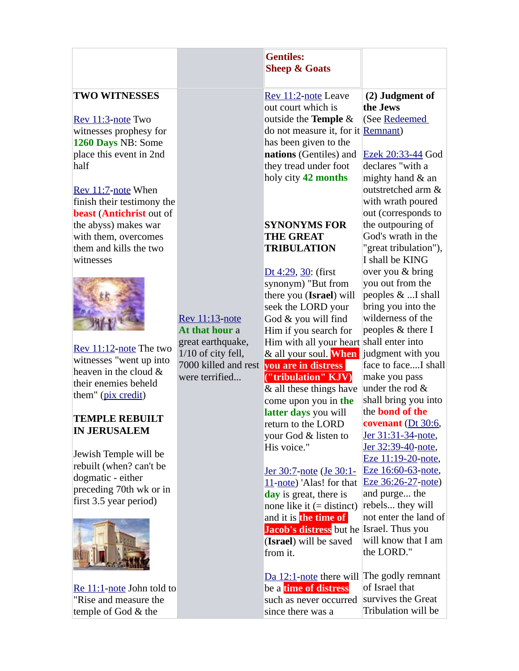|                                                                                                                                                                                                                                                                                                                                                                                                                                                                                                                                                                                                                         |                                                                                                                              | <b>Gentiles:</b><br><b>Sheep &amp; Goats</b>                                                                                                                                                                                                                                                                                                                                                                                                                                                                                                                                                                                                                                                                                                                                                                                                                                                                                 |                                                                                                                                                                                                                                                                                                                                                                                                                                                                                                                                                                                                                                                                                                                                                                            |
|-------------------------------------------------------------------------------------------------------------------------------------------------------------------------------------------------------------------------------------------------------------------------------------------------------------------------------------------------------------------------------------------------------------------------------------------------------------------------------------------------------------------------------------------------------------------------------------------------------------------------|------------------------------------------------------------------------------------------------------------------------------|------------------------------------------------------------------------------------------------------------------------------------------------------------------------------------------------------------------------------------------------------------------------------------------------------------------------------------------------------------------------------------------------------------------------------------------------------------------------------------------------------------------------------------------------------------------------------------------------------------------------------------------------------------------------------------------------------------------------------------------------------------------------------------------------------------------------------------------------------------------------------------------------------------------------------|----------------------------------------------------------------------------------------------------------------------------------------------------------------------------------------------------------------------------------------------------------------------------------------------------------------------------------------------------------------------------------------------------------------------------------------------------------------------------------------------------------------------------------------------------------------------------------------------------------------------------------------------------------------------------------------------------------------------------------------------------------------------------|
| <b>TWO WITNESSES</b><br>Rev 11:3-note Two<br>witnesses prophesy for<br>1260 Days NB: Some<br>place this event in 2nd<br>half<br>Rev 11:7-note When<br>finish their testimony the<br><b>beast (Antichrist out of</b><br>the abyss) makes war<br>with them, overcomes<br>them and kills the two<br>witnesses<br>Rev $11:12$ -note The two<br>witnesses "went up into<br>heaven in the cloud &<br>their enemies beheld<br>them" (pix credit)<br><b>TEMPLE REBUILT</b><br><b>IN JERUSALEM</b><br>Jewish Temple will be<br>rebuilt (when? can't be<br>dogmatic - either<br>preceding 70th wk or in<br>first 3.5 year period) | <b>Rev 11:13-note</b><br>At that hour a<br>great earthquake,<br>1/10 of city fell,<br>7000 killed and rest<br>were terrified | Rev 11:2-note Leave<br>out court which is<br>outside the Temple &<br>do not measure it, for it Remnant)<br>has been given to the<br>nations (Gentiles) and<br>they tread under foot<br>holy city 42 months<br><b>SYNONYMS FOR</b><br><b>THE GREAT</b><br><b>TRIBULATION</b><br>Dt 4:29, 30: (first<br>synonym) "But from<br>there you (Israel) will<br>seek the LORD your<br>God & you will find<br>Him if you search for<br>Him with all your heart shall enter into<br>& all your soul. When<br>you are in distress<br>("tribulation" KJV)<br>& all these things have<br>come upon you in the<br>latter days you will<br>return to the LORD<br>your God & listen to<br>His voice."<br><u>Jer 30:7-note</u> (Je 30:1-<br>11-note) 'Alas! for that<br>day is great, there is<br>none like it $(=\text{distinct})$<br>and it is the time of<br>Jacob's distress but he Israel. Thus you<br>(Israel) will be saved<br>from it. | (2) Judgment of<br>the Jews<br>(See Redeemed<br>Ezek 20:33-44 God<br>declares "with a<br>mighty hand & an<br>outstretched arm &<br>with wrath poured<br>out (corresponds to<br>the outpouring of<br>God's wrath in the<br>"great tribulation"),<br>I shall be KING<br>over you & bring<br>you out from the<br>peoples & I shall<br>bring you into the<br>wilderness of the<br>peoples & there I<br>judgment with you<br>face to faceI shall<br>make you pass<br>under the rod &<br>shall bring you into<br>the <b>bond</b> of the<br>covenant $(Dt 30:6,$<br>Jer 31:31-34-note,<br>Jer 32:39-40-note,<br>Eze 11:19-20-note,<br>Eze 16:60-63-note,<br>Eze 36:26-27-note)<br>and purge the<br>rebels they will<br>not enter the land of<br>will know that I am<br>the LORD." |
| Re 11:1-note John told to<br>"Rise and measure the<br>temple of God & the                                                                                                                                                                                                                                                                                                                                                                                                                                                                                                                                               |                                                                                                                              | Da 12:1-note there will<br>be a <b>time of distress</b><br>such as never occurred<br>since there was a                                                                                                                                                                                                                                                                                                                                                                                                                                                                                                                                                                                                                                                                                                                                                                                                                       | The godly remnant<br>of Israel that<br>survives the Great<br>Tribulation will be                                                                                                                                                                                                                                                                                                                                                                                                                                                                                                                                                                                                                                                                                           |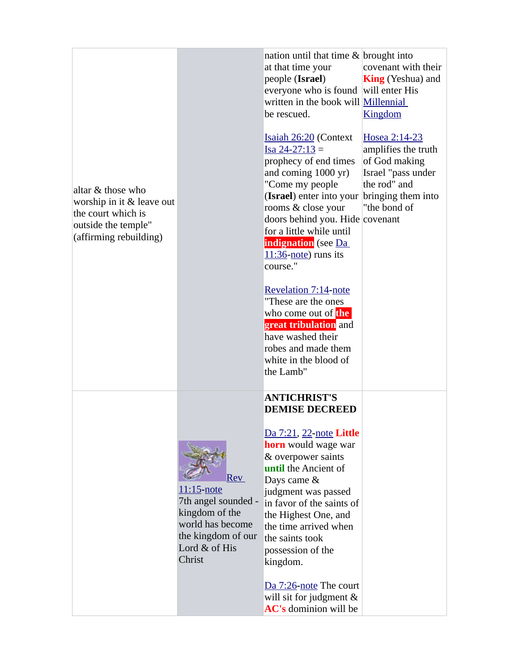| altar & those who<br>worship in it & leave out<br>the court which is<br>outside the temple"<br>(affirming rebuilding) |                                                                                                                                               | nation until that time & brought into<br>at that time your<br>people (Israel)<br>everyone who is found will enter His<br>written in the book will Millennial<br>be rescued.<br><b>Isaiah 26:20 (Context</b><br>$Isa 24-27:13 =$<br>prophecy of end times<br>and coming 1000 yr)<br>"Come my people<br>(Israel) enter into your bringing them into<br>rooms & close your<br>doors behind you. Hide covenant<br>for a little while until<br><b>indignation</b> (see Da<br>$11:36$ -note) runs its<br>course."<br>Revelation 7:14-note<br>"These are the ones<br>who come out of the<br>great tribulation and<br>have washed their<br>robes and made them<br>white in the blood of<br>the Lamb" | covenant with their<br><b>King</b> (Yeshua) and<br><b>Kingdom</b><br>Hosea 2:14-23<br>amplifies the truth<br>of God making<br>Israel "pass under<br>the rod" and<br>"the bond of |
|-----------------------------------------------------------------------------------------------------------------------|-----------------------------------------------------------------------------------------------------------------------------------------------|----------------------------------------------------------------------------------------------------------------------------------------------------------------------------------------------------------------------------------------------------------------------------------------------------------------------------------------------------------------------------------------------------------------------------------------------------------------------------------------------------------------------------------------------------------------------------------------------------------------------------------------------------------------------------------------------|----------------------------------------------------------------------------------------------------------------------------------------------------------------------------------|
|                                                                                                                       | <b>Rev</b><br><u>11:15-note</u><br>7th angel sounded -<br>kingdom of the<br>world has become<br>the kingdom of our<br>Lord & of His<br>Christ | <b>ANTICHRIST'S</b><br><b>DEMISE DECREED</b><br>Da 7:21, 22-note Little<br><b>horn</b> would wage war<br>& overpower saints<br>until the Ancient of<br>Days came &<br>judgment was passed<br>in favor of the saints of<br>the Highest One, and<br>the time arrived when<br>the saints took<br>possession of the<br>kingdom.<br>Da 7:26-note The court<br>will sit for judgment &<br>AC's dominion will be                                                                                                                                                                                                                                                                                    |                                                                                                                                                                                  |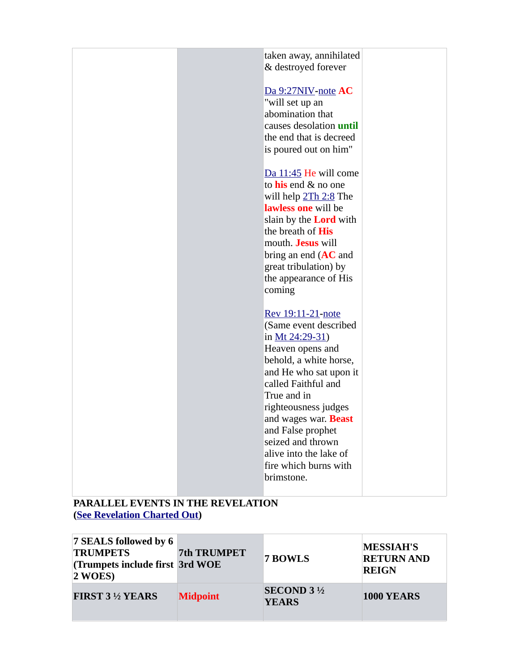| taken away, annihilated        |  |
|--------------------------------|--|
| & destroyed forever            |  |
| Da 9:27NIV-note AC             |  |
| "will set up an                |  |
| abomination that               |  |
| causes desolation <i>until</i> |  |
| the end that is decreed        |  |
| is poured out on him"          |  |
|                                |  |
| Da 11:45 He will come          |  |
| to his end & no one            |  |
| will help 2Th 2:8 The          |  |
| lawless one will be            |  |
| slain by the <b>Lord</b> with  |  |
| the breath of His              |  |
| mouth. Jesus will              |  |
| bring an end $(AC$ and         |  |
| great tribulation) by          |  |
| the appearance of His          |  |
| coming                         |  |
|                                |  |
| Rev 19:11-21-note              |  |
| (Same event described          |  |
| in $Mt$ 24:29-31)              |  |
| Heaven opens and               |  |
| behold, a white horse,         |  |
| and He who sat upon it         |  |
| called Faithful and            |  |
| True and in                    |  |
| righteousness judges           |  |
| and wages war. <b>Beast</b>    |  |
| and False prophet              |  |
| seized and thrown              |  |
| alive into the lake of         |  |
| fire which burns with          |  |
| brimstone.                     |  |
|                                |  |
|                                |  |

## **PARALLEL EVENTS IN THE REVELATION [\(See Revelation Charted Out](https://www.preceptaustin.org/revelation_-_pt_2_-_lecture_11a))**

| 7 SEALS followed by 6<br><b>TRUMPETS</b><br>(Trumpets include first 3rd WOE<br>$2$ WOES) | 7th TRUMPET     | 7 BOWLS                             | <b>MESSIAH'S</b><br><b>RETURN AND</b><br><b>REIGN</b> |
|------------------------------------------------------------------------------------------|-----------------|-------------------------------------|-------------------------------------------------------|
| <b>FIRST 3 ½ YEARS</b>                                                                   | <b>Midpoint</b> | <b>SECOND 3 1/2</b><br><b>YEARS</b> | <b>1000 YEARS</b>                                     |